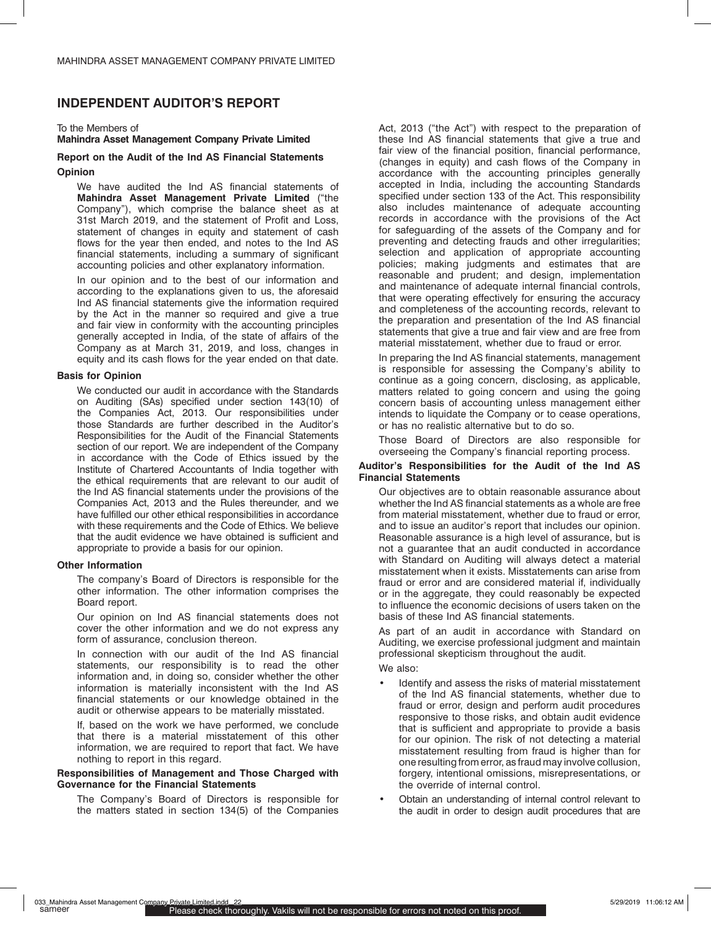# **INDEPENDENT AUDITOR'S REPORT**

## To the Members of **Mahindra Asset Management Company Private Limited**

# **Report on the Audit of the Ind AS Financial Statements Opinion**

 We have audited the Ind AS financial statements of **Mahindra Asset Management Private Limited** ("the Company"), which comprise the balance sheet as at 31st March 2019, and the statement of Profit and Loss, statement of changes in equity and statement of cash flows for the year then ended, and notes to the Ind AS financial statements, including a summary of significant accounting policies and other explanatory information.

 In our opinion and to the best of our information and according to the explanations given to us, the aforesaid Ind AS financial statements give the information required by the Act in the manner so required and give a true and fair view in conformity with the accounting principles generally accepted in India, of the state of affairs of the Company as at March 31, 2019, and loss, changes in equity and its cash flows for the year ended on that date.

# **Basis for Opinion**

 We conducted our audit in accordance with the Standards on Auditing (SAs) specified under section 143(10) of the Companies Act, 2013. Our responsibilities under those Standards are further described in the Auditor's Responsibilities for the Audit of the Financial Statements section of our report. We are independent of the Company in accordance with the Code of Ethics issued by the Institute of Chartered Accountants of India together with the ethical requirements that are relevant to our audit of the Ind AS financial statements under the provisions of the Companies Act, 2013 and the Rules thereunder, and we have fulfilled our other ethical responsibilities in accordance with these requirements and the Code of Ethics. We believe that the audit evidence we have obtained is sufficient and appropriate to provide a basis for our opinion.

# **Other Information**

 The company's Board of Directors is responsible for the other information. The other information comprises the Board report.

 Our opinion on Ind AS financial statements does not cover the other information and we do not express any form of assurance, conclusion thereon.

 In connection with our audit of the Ind AS financial statements, our responsibility is to read the other information and, in doing so, consider whether the other information is materially inconsistent with the Ind AS financial statements or our knowledge obtained in the audit or otherwise appears to be materially misstated.

 If, based on the work we have performed, we conclude that there is a material misstatement of this other information, we are required to report that fact. We have nothing to report in this regard.

# **Responsibilities of Management and Those Charged with Governance for the Financial Statements**

 The Company's Board of Directors is responsible for the matters stated in section 134(5) of the Companies Act, 2013 ("the Act") with respect to the preparation of these Ind AS financial statements that give a true and fair view of the financial position, financial performance, (changes in equity) and cash flows of the Company in accordance with the accounting principles generally accepted in India, including the accounting Standards specified under section 133 of the Act. This responsibility also includes maintenance of adequate accounting records in accordance with the provisions of the Act for safeguarding of the assets of the Company and for preventing and detecting frauds and other irregularities; selection and application of appropriate accounting policies; making judgments and estimates that are reasonable and prudent; and design, implementation and maintenance of adequate internal financial controls, that were operating effectively for ensuring the accuracy and completeness of the accounting records, relevant to the preparation and presentation of the Ind AS financial statements that give a true and fair view and are free from material misstatement, whether due to fraud or error.

 In preparing the Ind AS financial statements, management is responsible for assessing the Company's ability to continue as a going concern, disclosing, as applicable, matters related to going concern and using the going concern basis of accounting unless management either intends to liquidate the Company or to cease operations, or has no realistic alternative but to do so.

 Those Board of Directors are also responsible for overseeing the Company's financial reporting process.

# **Auditor's Responsibilities for the Audit of the Ind AS Financial Statements**

 Our objectives are to obtain reasonable assurance about whether the Ind AS financial statements as a whole are free from material misstatement, whether due to fraud or error, and to issue an auditor's report that includes our opinion. Reasonable assurance is a high level of assurance, but is not a guarantee that an audit conducted in accordance with Standard on Auditing will always detect a material misstatement when it exists. Misstatements can arise from fraud or error and are considered material if, individually or in the aggregate, they could reasonably be expected to influence the economic decisions of users taken on the basis of these Ind AS financial statements.

 As part of an audit in accordance with Standard on Auditing, we exercise professional judgment and maintain professional skepticism throughout the audit.

We also:

- Identify and assess the risks of material misstatement of the Ind AS financial statements, whether due to fraud or error, design and perform audit procedures responsive to those risks, and obtain audit evidence that is sufficient and appropriate to provide a basis for our opinion. The risk of not detecting a material misstatement resulting from fraud is higher than for one resulting from error, as fraud may involve collusion, forgery, intentional omissions, misrepresentations, or the override of internal control.
- Obtain an understanding of internal control relevant to the audit in order to design audit procedures that are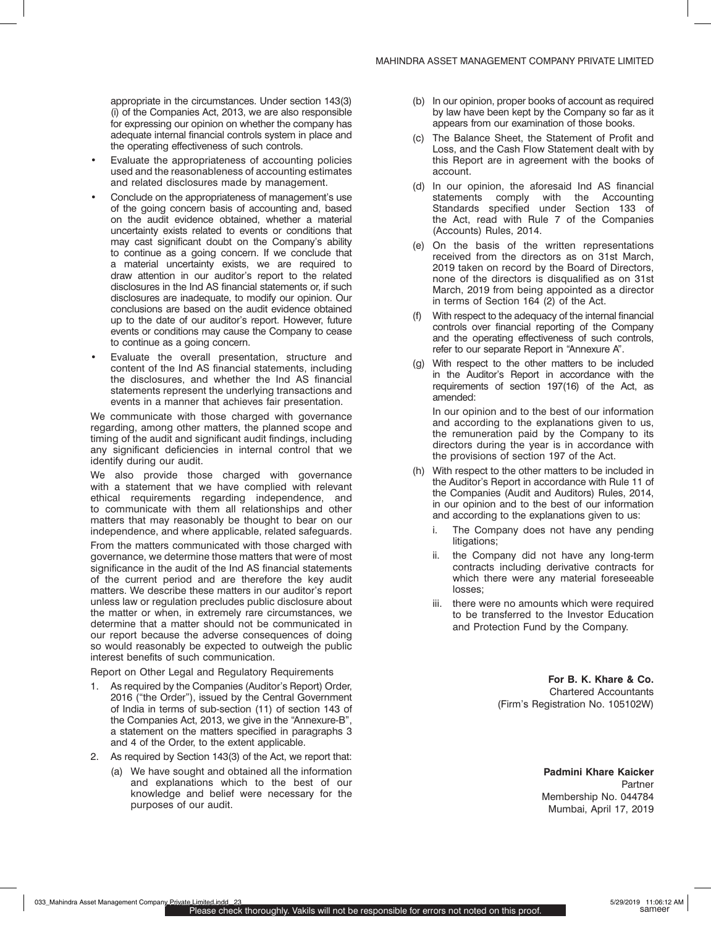appropriate in the circumstances. Under section 143(3) (i) of the Companies Act, 2013, we are also responsible for expressing our opinion on whether the company has adequate internal financial controls system in place and the operating effectiveness of such controls.

- Evaluate the appropriateness of accounting policies used and the reasonableness of accounting estimates and related disclosures made by management.
- Conclude on the appropriateness of management's use of the going concern basis of accounting and, based on the audit evidence obtained, whether a material uncertainty exists related to events or conditions that may cast significant doubt on the Company's ability to continue as a going concern. If we conclude that a material uncertainty exists, we are required to draw attention in our auditor's report to the related disclosures in the Ind AS financial statements or, if such disclosures are inadequate, to modify our opinion. Our conclusions are based on the audit evidence obtained up to the date of our auditor's report. However, future events or conditions may cause the Company to cease to continue as a going concern.
- Evaluate the overall presentation, structure and content of the Ind AS financial statements, including the disclosures, and whether the Ind AS financial statements represent the underlying transactions and events in a manner that achieves fair presentation.

 We communicate with those charged with governance regarding, among other matters, the planned scope and timing of the audit and significant audit findings, including any significant deficiencies in internal control that we identify during our audit.

 We also provide those charged with governance with a statement that we have complied with relevant ethical requirements regarding independence, and to communicate with them all relationships and other matters that may reasonably be thought to bear on our independence, and where applicable, related safeguards.

 From the matters communicated with those charged with governance, we determine those matters that were of most significance in the audit of the Ind AS financial statements of the current period and are therefore the key audit matters. We describe these matters in our auditor's report unless law or regulation precludes public disclosure about the matter or when, in extremely rare circumstances, we determine that a matter should not be communicated in our report because the adverse consequences of doing so would reasonably be expected to outweigh the public interest benefits of such communication.

Report on Other Legal and Regulatory Requirements

- 1. As required by the Companies (Auditor's Report) Order, 2016 ("the Order"), issued by the Central Government of India in terms of sub-section (11) of section 143 of the Companies Act, 2013, we give in the "Annexure-B", a statement on the matters specified in paragraphs 3 and 4 of the Order, to the extent applicable.
- 2. As required by Section 143(3) of the Act, we report that:
	- (a) We have sought and obtained all the information and explanations which to the best of our knowledge and belief were necessary for the purposes of our audit.
- (b) In our opinion, proper books of account as required by law have been kept by the Company so far as it appears from our examination of those books.
- (c) The Balance Sheet, the Statement of Profit and Loss, and the Cash Flow Statement dealt with by this Report are in agreement with the books of account.
- (d) In our opinion, the aforesaid Ind AS financial statements comply with the Accounting Standards specified under Section 133 of the Act, read with Rule 7 of the Companies (Accounts) Rules, 2014.
- (e) On the basis of the written representations received from the directors as on 31st March, 2019 taken on record by the Board of Directors, none of the directors is disqualified as on 31st March, 2019 from being appointed as a director in terms of Section 164 (2) of the Act.
- (f) With respect to the adequacy of the internal financial controls over financial reporting of the Company and the operating effectiveness of such controls, refer to our separate Report in "Annexure A".
- (g) With respect to the other matters to be included in the Auditor's Report in accordance with the requirements of section 197(16) of the Act, as amended:

 In our opinion and to the best of our information and according to the explanations given to us, the remuneration paid by the Company to its directors during the year is in accordance with the provisions of section 197 of the Act.

- (h) With respect to the other matters to be included in the Auditor's Report in accordance with Rule 11 of the Companies (Audit and Auditors) Rules, 2014, in our opinion and to the best of our information and according to the explanations given to us:
	- i. The Company does not have any pending litigations:
	- ii. the Company did not have any long-term contracts including derivative contracts for which there were any material foreseeable losses;
	- iii. there were no amounts which were required to be transferred to the Investor Education and Protection Fund by the Company.

**For B. K. Khare & Co.** Chartered Accountants (Firm's Registration No. 105102W)

> **Padmini Khare Kaicker** Partner Membership No. 044784 Mumbai, April 17, 2019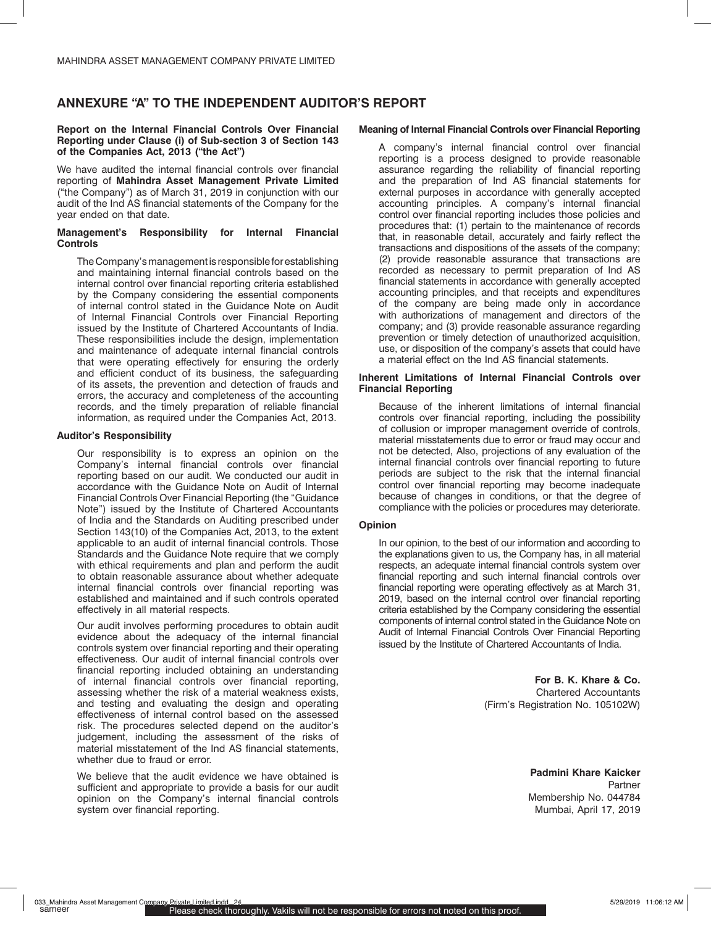# **ANNEXURE "A" TO THE INDEPENDENT AUDITOR'S REPORT**

**Report on the Internal Financial Controls Over Financial Reporting under Clause (i) of Sub-section 3 of Section 143 of the Companies Act, 2013 ("the Act")**

We have audited the internal financial controls over financial reporting of **Mahindra Asset Management Private Limited**  ("the Company") as of March 31, 2019 in conjunction with our audit of the Ind AS financial statements of the Company for the year ended on that date.

# **Management's Responsibility for Internal Financial Controls**

 The Company's management is responsible for establishing and maintaining internal financial controls based on the internal control over financial reporting criteria established by the Company considering the essential components of internal control stated in the Guidance Note on Audit of Internal Financial Controls over Financial Reporting issued by the Institute of Chartered Accountants of India. These responsibilities include the design, implementation and maintenance of adequate internal financial controls that were operating effectively for ensuring the orderly and efficient conduct of its business, the safeguarding of its assets, the prevention and detection of frauds and errors, the accuracy and completeness of the accounting records, and the timely preparation of reliable financial information, as required under the Companies Act, 2013.

### **Auditor's Responsibility**

 Our responsibility is to express an opinion on the Company's internal financial controls over financial reporting based on our audit. We conducted our audit in accordance with the Guidance Note on Audit of Internal Financial Controls Over Financial Reporting (the "Guidance Note") issued by the Institute of Chartered Accountants of India and the Standards on Auditing prescribed under Section 143(10) of the Companies Act, 2013, to the extent applicable to an audit of internal financial controls. Those Standards and the Guidance Note require that we comply with ethical requirements and plan and perform the audit to obtain reasonable assurance about whether adequate internal financial controls over financial reporting was established and maintained and if such controls operated effectively in all material respects.

 Our audit involves performing procedures to obtain audit evidence about the adequacy of the internal financial controls system over financial reporting and their operating effectiveness. Our audit of internal financial controls over financial reporting included obtaining an understanding of internal financial controls over financial reporting, assessing whether the risk of a material weakness exists, and testing and evaluating the design and operating effectiveness of internal control based on the assessed risk. The procedures selected depend on the auditor's judgement, including the assessment of the risks of material misstatement of the Ind AS financial statements, whether due to fraud or error.

 We believe that the audit evidence we have obtained is sufficient and appropriate to provide a basis for our audit opinion on the Company's internal financial controls system over financial reporting.

### **Meaning of Internal Financial Controls over Financial Reporting**

 A company's internal financial control over financial reporting is a process designed to provide reasonable assurance regarding the reliability of financial reporting and the preparation of Ind AS financial statements for external purposes in accordance with generally accepted accounting principles. A company's internal financial control over financial reporting includes those policies and procedures that: (1) pertain to the maintenance of records that, in reasonable detail, accurately and fairly reflect the transactions and dispositions of the assets of the company; (2) provide reasonable assurance that transactions are recorded as necessary to permit preparation of Ind AS financial statements in accordance with generally accepted accounting principles, and that receipts and expenditures of the company are being made only in accordance with authorizations of management and directors of the company; and (3) provide reasonable assurance regarding prevention or timely detection of unauthorized acquisition, use, or disposition of the company's assets that could have a material effect on the Ind AS financial statements.

#### **Inherent Limitations of Internal Financial Controls over Financial Reporting**

 Because of the inherent limitations of internal financial controls over financial reporting, including the possibility of collusion or improper management override of controls, material misstatements due to error or fraud may occur and not be detected, Also, projections of any evaluation of the internal financial controls over financial reporting to future periods are subject to the risk that the internal financial control over financial reporting may become inadequate because of changes in conditions, or that the degree of compliance with the policies or procedures may deteriorate.

#### **Opinion**

 In our opinion, to the best of our information and according to the explanations given to us, the Company has, in all material respects, an adequate internal financial controls system over financial reporting and such internal financial controls over financial reporting were operating effectively as at March 31, 2019, based on the internal control over financial reporting criteria established by the Company considering the essential components of internal control stated in the Guidance Note on Audit of Internal Financial Controls Over Financial Reporting issued by the Institute of Chartered Accountants of India.

> **For B. K. Khare & Co.** Chartered Accountants (Firm's Registration No. 105102W)

> > **Padmini Khare Kaicker** Partner Membership No. 044784 Mumbai, April 17, 2019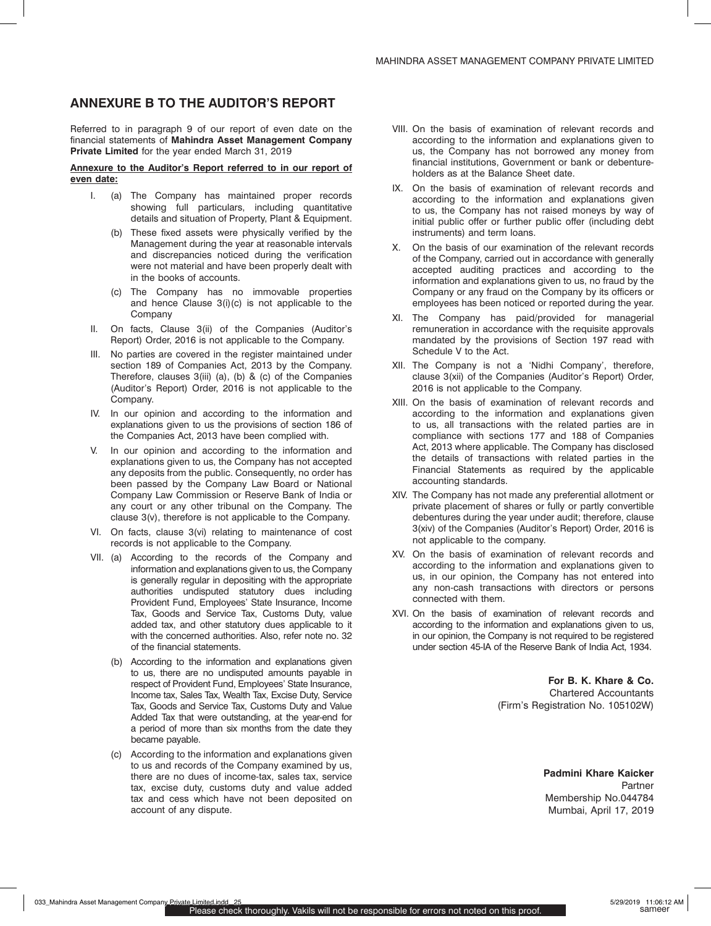# **ANNEXURE B TO THE AUDITOR'S REPORT**

Referred to in paragraph 9 of our report of even date on the financial statements of **Mahindra Asset Management Company Private Limited** for the year ended March 31, 2019

### **Annexure to the Auditor's Report referred to in our report of even date:**

- I. (a) The Company has maintained proper records showing full particulars, including quantitative details and situation of Property, Plant & Equipment.
	- (b) These fixed assets were physically verified by the Management during the year at reasonable intervals and discrepancies noticed during the verification were not material and have been properly dealt with in the books of accounts.
	- (c) The Company has no immovable properties and hence Clause 3(i)(c) is not applicable to the **Company**
- II. On facts, Clause 3(ii) of the Companies (Auditor's Report) Order, 2016 is not applicable to the Company.
- III. No parties are covered in the register maintained under section 189 of Companies Act, 2013 by the Company. Therefore, clauses 3(iii) (a), (b) & (c) of the Companies (Auditor's Report) Order, 2016 is not applicable to the Company.
- IV. In our opinion and according to the information and explanations given to us the provisions of section 186 of the Companies Act, 2013 have been complied with.
- V. In our opinion and according to the information and explanations given to us, the Company has not accepted any deposits from the public. Consequently, no order has been passed by the Company Law Board or National Company Law Commission or Reserve Bank of India or any court or any other tribunal on the Company. The clause 3(v), therefore is not applicable to the Company.
- VI. On facts, clause 3(vi) relating to maintenance of cost records is not applicable to the Company.
- VII. (a) According to the records of the Company and information and explanations given to us, the Company is generally regular in depositing with the appropriate authorities undisputed statutory dues including Provident Fund, Employees' State Insurance, Income Tax, Goods and Service Tax, Customs Duty, value added tax, and other statutory dues applicable to it with the concerned authorities. Also, refer note no. 32 of the financial statements.
	- (b) According to the information and explanations given to us, there are no undisputed amounts payable in respect of Provident Fund, Employees' State Insurance, Income tax, Sales Tax, Wealth Tax, Excise Duty, Service Tax, Goods and Service Tax, Customs Duty and Value Added Tax that were outstanding, at the year-end for a period of more than six months from the date they became payable.
	- (c) According to the information and explanations given to us and records of the Company examined by us, there are no dues of income-tax, sales tax, service tax, excise duty, customs duty and value added tax and cess which have not been deposited on account of any dispute.
- VIII. On the basis of examination of relevant records and according to the information and explanations given to us, the Company has not borrowed any money from financial institutions, Government or bank or debentureholders as at the Balance Sheet date.
- IX. On the basis of examination of relevant records and according to the information and explanations given to us, the Company has not raised moneys by way of initial public offer or further public offer (including debt instruments) and term loans.
- X. On the basis of our examination of the relevant records of the Company, carried out in accordance with generally accepted auditing practices and according to the information and explanations given to us, no fraud by the Company or any fraud on the Company by its officers or employees has been noticed or reported during the year.
- XI. The Company has paid/provided for managerial remuneration in accordance with the requisite approvals mandated by the provisions of Section 197 read with Schedule V to the Act.
- XII. The Company is not a 'Nidhi Company', therefore, clause 3(xii) of the Companies (Auditor's Report) Order, 2016 is not applicable to the Company.
- XIII. On the basis of examination of relevant records and according to the information and explanations given to us, all transactions with the related parties are in compliance with sections 177 and 188 of Companies Act, 2013 where applicable. The Company has disclosed the details of transactions with related parties in the Financial Statements as required by the applicable accounting standards.
- XIV. The Company has not made any preferential allotment or private placement of shares or fully or partly convertible debentures during the year under audit; therefore, clause 3(xiv) of the Companies (Auditor's Report) Order, 2016 is not applicable to the company.
- XV. On the basis of examination of relevant records and according to the information and explanations given to us, in our opinion, the Company has not entered into any non-cash transactions with directors or persons connected with them.
- XVI. On the basis of examination of relevant records and according to the information and explanations given to us, in our opinion, the Company is not required to be registered under section 45-IA of the Reserve Bank of India Act, 1934.

**For B. K. Khare & Co.** Chartered Accountants (Firm's Registration No. 105102W)

> **Padmini Khare Kaicker** Partner Membership No.044784 Mumbai, April 17, 2019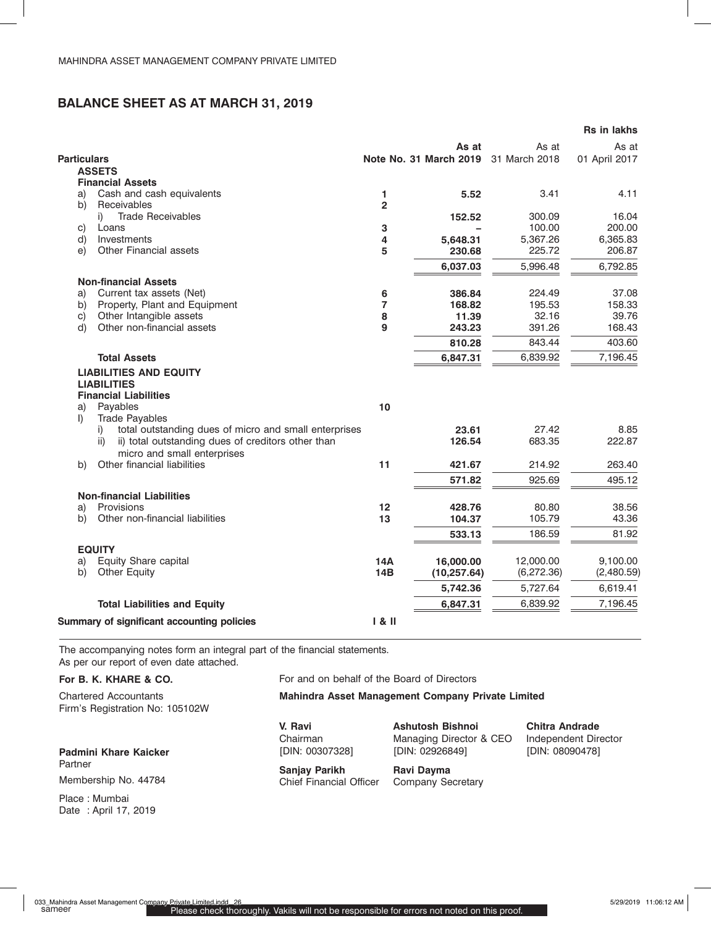# **BALANCE SHEET AS AT MARCH 31, 2019**

|                    |                                                             |                |                                      |            | <b>Rs in lakhs</b> |
|--------------------|-------------------------------------------------------------|----------------|--------------------------------------|------------|--------------------|
|                    |                                                             |                | As at                                | As at      | As at              |
| <b>Particulars</b> |                                                             |                | Note No. 31 March 2019 31 March 2018 |            | 01 April 2017      |
|                    | <b>ASSETS</b>                                               |                |                                      |            |                    |
|                    | <b>Financial Assets</b>                                     |                |                                      |            |                    |
| a)                 | Cash and cash equivalents                                   | 1              | 5.52                                 | 3.41       | 4.11               |
| b)                 | Receivables                                                 | $\overline{2}$ |                                      |            |                    |
|                    | <b>Trade Receivables</b><br>i)                              |                | 152.52                               | 300.09     | 16.04              |
| C)                 | Loans                                                       | 3              |                                      | 100.00     | 200.00             |
| d)                 | Investments                                                 | 4              | 5,648.31                             | 5,367.26   | 6,365.83           |
| e)                 | Other Financial assets                                      | 5              | 230.68                               | 225.72     | 206.87             |
|                    |                                                             |                | 6,037.03                             | 5,996.48   | 6,792.85           |
|                    | <b>Non-financial Assets</b>                                 |                |                                      |            |                    |
| a)                 | Current tax assets (Net)                                    | 6              | 386.84                               | 224.49     | 37.08              |
| b)                 | Property, Plant and Equipment                               | 7              | 168.82                               | 195.53     | 158.33             |
| C)                 | Other Intangible assets                                     | 8              | 11.39                                | 32.16      | 39.76              |
| d)                 | Other non-financial assets                                  | 9              | 243.23                               | 391.26     | 168.43             |
|                    |                                                             |                | 810.28                               | 843.44     | 403.60             |
|                    | <b>Total Assets</b>                                         |                | 6,847.31                             | 6,839.92   | 7,196.45           |
|                    | <b>LIABILITIES AND EQUITY</b>                               |                |                                      |            |                    |
|                    | <b>LIABILITIES</b>                                          |                |                                      |            |                    |
|                    | <b>Financial Liabilities</b>                                |                |                                      |            |                    |
| a)                 | Payables                                                    | 10             |                                      |            |                    |
| $\mathsf{I}$       | <b>Trade Payables</b>                                       |                |                                      |            |                    |
|                    | total outstanding dues of micro and small enterprises<br>i) |                | 23.61                                | 27.42      | 8.85               |
|                    | ii) total outstanding dues of creditors other than<br>ii)   |                | 126.54                               | 683.35     | 222.87             |
|                    | micro and small enterprises                                 |                |                                      |            |                    |
| b)                 | Other financial liabilities                                 | 11             | 421.67                               | 214.92     | 263.40             |
|                    |                                                             |                | 571.82                               | 925.69     | 495.12             |
|                    |                                                             |                |                                      |            |                    |
|                    | <b>Non-financial Liabilities</b>                            |                |                                      |            |                    |
| a)                 | Provisions                                                  | 12             | 428.76                               | 80.80      | 38.56              |
| b)                 | Other non-financial liabilities                             | 13             | 104.37                               | 105.79     | 43.36              |
|                    |                                                             |                | 533.13                               | 186.59     | 81.92              |
|                    | <b>EQUITY</b>                                               |                |                                      |            |                    |
| a)                 | Equity Share capital                                        | 14A            | 16,000.00                            | 12,000.00  | 9,100.00           |
| b)                 | <b>Other Equity</b>                                         | 14B            | (10, 257.64)                         | (6,272.36) | (2,480.59)         |
|                    |                                                             |                | 5,742.36                             | 5,727.64   | 6,619.41           |
|                    | <b>Total Liabilities and Equity</b>                         |                | 6,847.31                             | 6,839.92   | 7,196.45           |
|                    | Summary of significant accounting policies                  | 1 & 81         |                                      |            |                    |
|                    |                                                             |                |                                      |            |                    |

The accompanying notes form an integral part of the financial statements. As per our report of even date attached.

| For and on behalf of the Board of Directors<br>For B. K. KHARE & CO. |                                                        |                                                                |                                                                  |  |  |
|----------------------------------------------------------------------|--------------------------------------------------------|----------------------------------------------------------------|------------------------------------------------------------------|--|--|
| <b>Chartered Accountants</b><br>Firm's Registration No: 105102W      | Mahindra Asset Management Company Private Limited      |                                                                |                                                                  |  |  |
| Padmini Khare Kaicker                                                | V. Ravi<br>Chairman<br>[DIN: 00307328]                 | Ashutosh Bishnoi<br>Managing Director & CEO<br>[DIN: 02926849] | <b>Chitra Andrade</b><br>Independent Director<br>[DIN: 08090478] |  |  |
| Partner<br>Membership No. 44784                                      | <b>Sanjay Parikh</b><br><b>Chief Financial Officer</b> | Ravi Dayma<br>Company Secretary                                |                                                                  |  |  |
| Place: Mumbai<br>Date: April 17, 2019                                |                                                        |                                                                |                                                                  |  |  |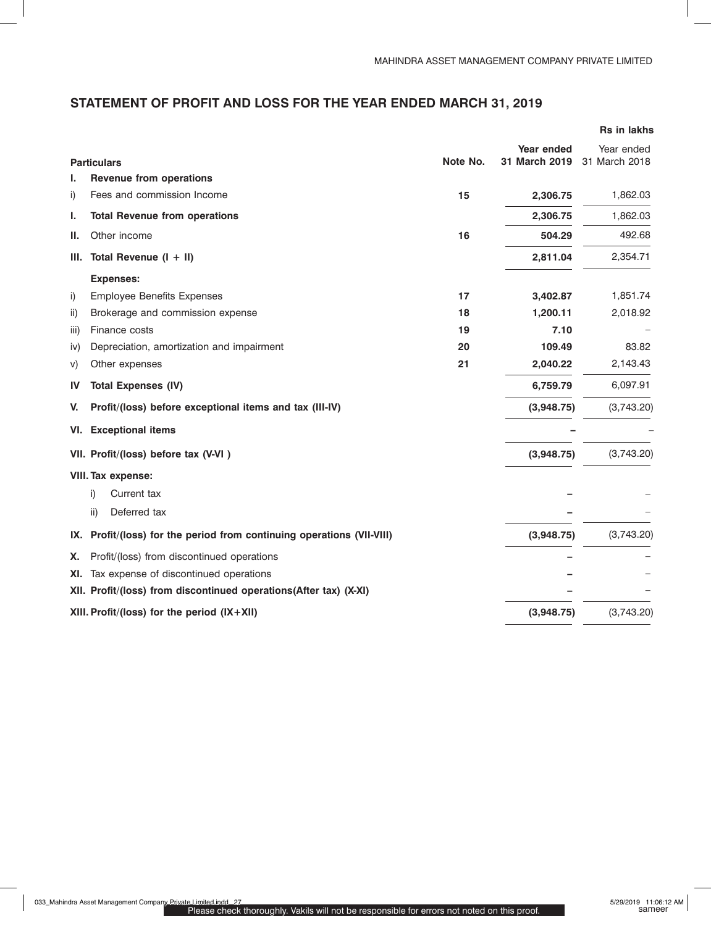# **STATEMENT OF PROFIT AND LOSS FOR THE YEAR ENDED MARCH 31, 2019**

|      |                                                                        |          |                             | <b>Rs in lakhs</b>          |
|------|------------------------------------------------------------------------|----------|-----------------------------|-----------------------------|
|      | <b>Particulars</b>                                                     | Note No. | Year ended<br>31 March 2019 | Year ended<br>31 March 2018 |
| ı.   | <b>Revenue from operations</b>                                         |          |                             |                             |
| i)   | Fees and commission Income                                             | 15       | 2,306.75                    | 1,862.03                    |
| ı.   | <b>Total Revenue from operations</b>                                   |          | 2,306.75                    | 1,862.03                    |
| н.   | Other income                                                           | 16       | 504.29                      | 492.68                      |
| Ш.   | Total Revenue (I + II)                                                 |          | 2,811.04                    | 2,354.71                    |
|      | <b>Expenses:</b>                                                       |          |                             |                             |
| i)   | <b>Employee Benefits Expenses</b>                                      | 17       | 3,402.87                    | 1,851.74                    |
| ii)  | Brokerage and commission expense                                       | 18       | 1,200.11                    | 2,018.92                    |
| iii) | Finance costs                                                          | 19       | 7.10                        |                             |
| iv)  | Depreciation, amortization and impairment                              | 20       | 109.49                      | 83.82                       |
| V)   | Other expenses                                                         | 21       | 2,040.22                    | 2,143.43                    |
| IV   | <b>Total Expenses (IV)</b>                                             |          | 6,759.79                    | 6,097.91                    |
| V.   | Profit/(loss) before exceptional items and tax (III-IV)                |          | (3,948.75)                  | (3,743.20)                  |
|      | VI. Exceptional items                                                  |          |                             |                             |
|      | VII. Profit/(loss) before tax (V-VI)                                   |          | (3,948.75)                  | (3,743.20)                  |
|      | VIII. Tax expense:                                                     |          |                             |                             |
|      | Current tax<br>i)                                                      |          |                             |                             |
|      | Deferred tax<br>ii)                                                    |          |                             |                             |
|      | IX. Profit/(loss) for the period from continuing operations (VII-VIII) |          | (3,948.75)                  | (3,743.20)                  |
| Х.   | Profit/(loss) from discontinued operations                             |          |                             |                             |
|      | XI. Tax expense of discontinued operations                             |          |                             |                             |
|      | XII. Profit/(loss) from discontinued operations(After tax) (X-XI)      |          |                             |                             |
|      | XIII. Profit/(loss) for the period (IX+XII)                            |          | (3,948.75)                  | (3,743.20)                  |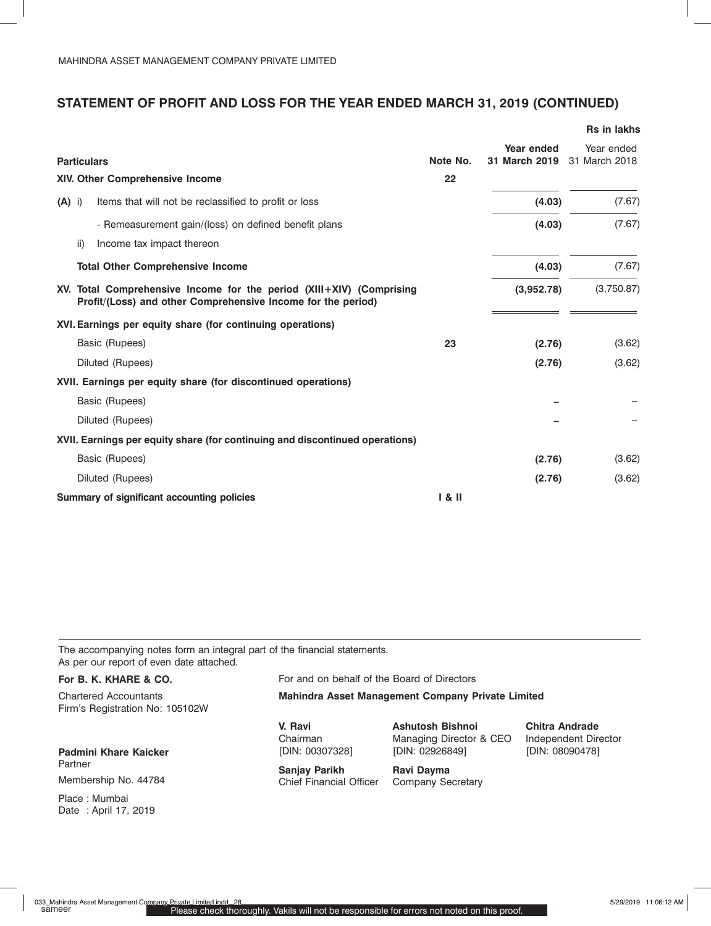# **STATEMENT OF PROFIT AND LOSS FOR THE YEAR ENDED MARCH 31, 2019 (Continued)**

|                                                                                                                                      |          |                             | <b>Rs in lakhs</b>          |
|--------------------------------------------------------------------------------------------------------------------------------------|----------|-----------------------------|-----------------------------|
| <b>Particulars</b>                                                                                                                   | Note No. | Year ended<br>31 March 2019 | Year ended<br>31 March 2018 |
| <b>XIV. Other Comprehensive Income</b>                                                                                               | 22       |                             |                             |
| Items that will not be reclassified to profit or loss<br>$(A)$ i)                                                                    |          | (4.03)                      | (7.67)                      |
| - Remeasurement gain/(loss) on defined benefit plans                                                                                 |          | (4.03)                      | (7.67)                      |
| Income tax impact thereon<br>ii)                                                                                                     |          |                             |                             |
| <b>Total Other Comprehensive Income</b>                                                                                              |          | (4.03)                      | (7.67)                      |
| XV. Total Comprehensive Income for the period (XIII+XIV) (Comprising<br>Profit/(Loss) and other Comprehensive Income for the period) |          | (3,952.78)                  | (3,750.87)                  |
| XVI. Earnings per equity share (for continuing operations)                                                                           |          |                             |                             |
| Basic (Rupees)                                                                                                                       | 23       | (2.76)                      | (3.62)                      |
| Diluted (Rupees)                                                                                                                     |          | (2.76)                      | (3.62)                      |
| XVII. Earnings per equity share (for discontinued operations)                                                                        |          |                             |                             |
| Basic (Rupees)                                                                                                                       |          |                             |                             |
| Diluted (Rupees)                                                                                                                     |          |                             |                             |
| XVII. Earnings per equity share (for continuing and discontinued operations)                                                         |          |                             |                             |
| Basic (Rupees)                                                                                                                       |          | (2.76)                      | (3.62)                      |
| Diluted (Rupees)                                                                                                                     |          | (2.76)                      | (3.62)                      |
| Summary of significant accounting policies                                                                                           | 1 & 8    |                             |                             |

The accompanying notes form an integral part of the financial statements. As per our report of even date attached.

| For and on behalf of the Board of Directors<br>For B. K. KHARE & CO. |                                        |                                                                       |                                                                  |  |  |  |  |
|----------------------------------------------------------------------|----------------------------------------|-----------------------------------------------------------------------|------------------------------------------------------------------|--|--|--|--|
| <b>Chartered Accountants</b><br>Firm's Registration No: 105102W      |                                        | Mahindra Asset Management Company Private Limited                     |                                                                  |  |  |  |  |
| <b>Padmini Khare Kaicker</b>                                         | V. Ravi<br>Chairman<br>[DIN: 00307328] | <b>Ashutosh Bishnoi</b><br>Managing Director & CEO<br>[DIN: 02926849] | <b>Chitra Andrade</b><br>Independent Director<br>[DIN: 08090478] |  |  |  |  |
| Partner                                                              | <b>Sanjay Parikh</b>                   | Ravi Dayma                                                            |                                                                  |  |  |  |  |
| Membership No. 44784                                                 | <b>Chief Financial Officer</b>         | <b>Company Secretary</b>                                              |                                                                  |  |  |  |  |
|                                                                      |                                        |                                                                       |                                                                  |  |  |  |  |

Place : Mumbai Date : April 17, 2019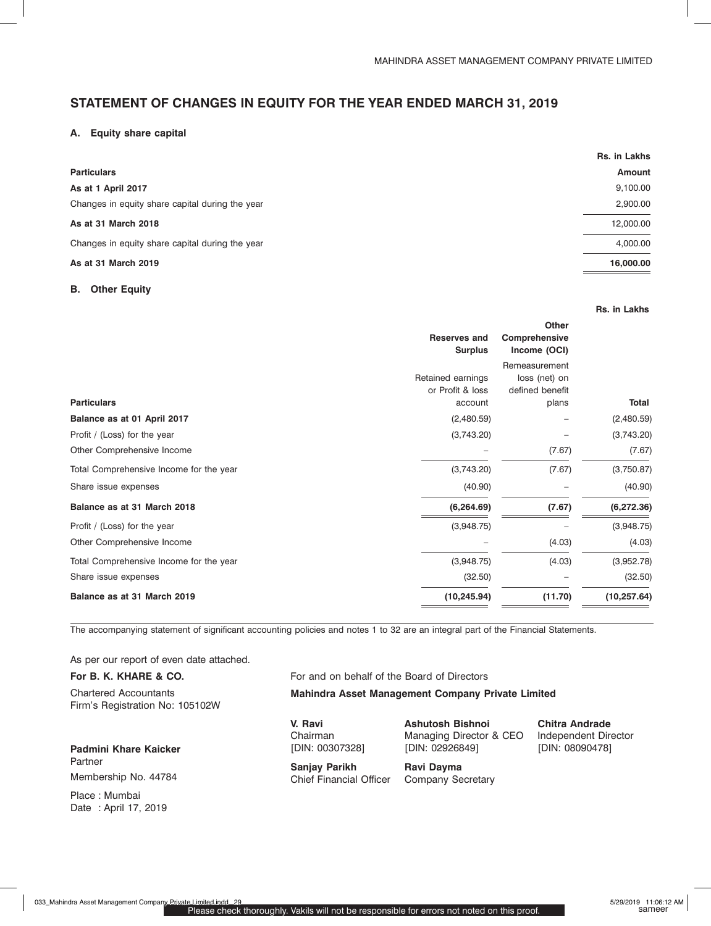**Rs. in Lakhs**

# **Statement of changes in Equity for the year ended MARCH 31, 2019**

# **A. Equity share capital**

|                                                 | Rs. in Lakhs |
|-------------------------------------------------|--------------|
| <b>Particulars</b>                              | Amount       |
| As at 1 April 2017                              | 9,100.00     |
| Changes in equity share capital during the year | 2,900.00     |
| As at 31 March 2018                             | 12,000.00    |
| Changes in equity share capital during the year | 4,000.00     |
| As at 31 March 2019                             | 16,000.00    |

# **B. Other Equity**

|                                                            | <b>Reserves and</b><br><b>Surplus</b>            | <b>Other</b><br>Comprehensive<br>Income (OCI)              |                      |
|------------------------------------------------------------|--------------------------------------------------|------------------------------------------------------------|----------------------|
| <b>Particulars</b>                                         | Retained earnings<br>or Profit & loss<br>account | Remeasurement<br>loss (net) on<br>defined benefit<br>plans | Total                |
| Balance as at 01 April 2017                                | (2,480.59)                                       |                                                            | (2,480.59)           |
| Profit / (Loss) for the year<br>Other Comprehensive Income | (3,743.20)                                       | (7.67)                                                     | (3,743.20)<br>(7.67) |
| Total Comprehensive Income for the year                    | (3,743.20)                                       | (7.67)                                                     | (3,750.87)           |
| Share issue expenses                                       | (40.90)                                          |                                                            | (40.90)              |
| Balance as at 31 March 2018                                | (6,264.69)                                       | (7.67)                                                     | (6, 272.36)          |
| Profit / (Loss) for the year                               | (3,948.75)                                       |                                                            | (3,948.75)           |
| Other Comprehensive Income                                 |                                                  | (4.03)                                                     | (4.03)               |
| Total Comprehensive Income for the year                    | (3,948.75)                                       | (4.03)                                                     | (3,952.78)           |
| Share issue expenses                                       | (32.50)                                          |                                                            | (32.50)              |
| Balance as at 31 March 2019                                | (10, 245.94)                                     | (11.70)                                                    | (10, 257.64)         |

The accompanying statement of significant accounting policies and notes 1 to 32 are an integral part of the Financial Statements.

As per our report of even date attached.

Date : April 17, 2019

| For B. K. KHARE & CO.                                           | For and on behalf of the Board of Directors       |                                                                |                                                                  |  |  |
|-----------------------------------------------------------------|---------------------------------------------------|----------------------------------------------------------------|------------------------------------------------------------------|--|--|
| <b>Chartered Accountants</b><br>Firm's Registration No: 105102W | Mahindra Asset Management Company Private Limited |                                                                |                                                                  |  |  |
| Padmini Khare Kaicker                                           | V. Ravi<br>Chairman<br>[DIN: 00307328]            | Ashutosh Bishnoi<br>Managing Director & CEO<br>[DIN: 02926849] | <b>Chitra Andrade</b><br>Independent Director<br>[DIN: 08090478] |  |  |
| Partner                                                         | <b>Sanjay Parikh</b>                              | Ravi Dayma                                                     |                                                                  |  |  |
| Membership No. 44784                                            | <b>Chief Financial Officer</b>                    | Company Secretary                                              |                                                                  |  |  |
| Place: Mumbai                                                   |                                                   |                                                                |                                                                  |  |  |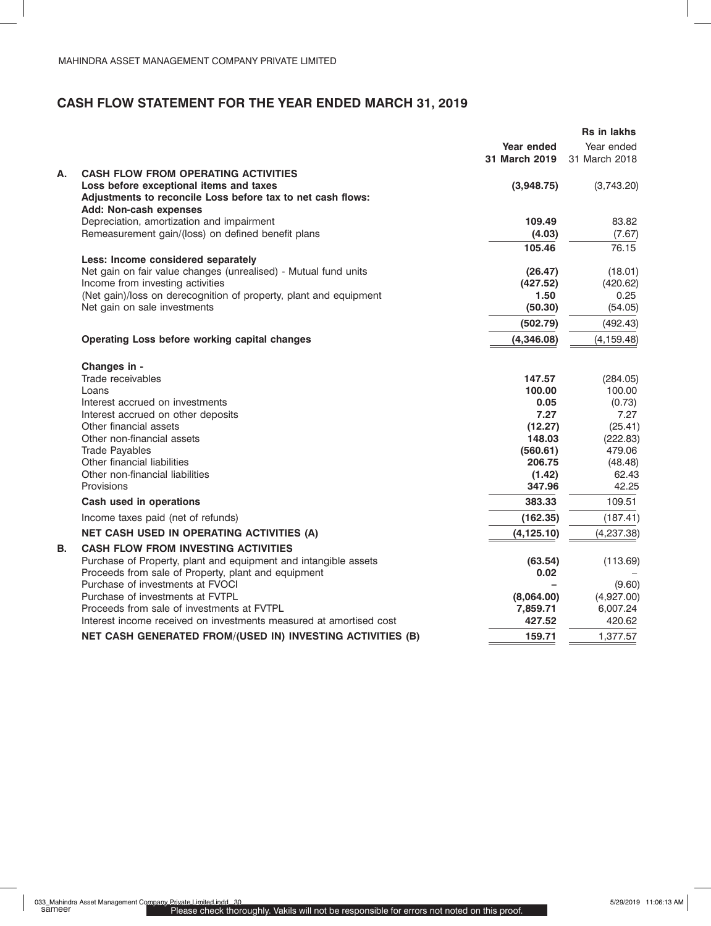# **CASH FLOW STATEMENT FOR THE YEAR ENDED MARCH 31, 2019**

|                                                                       |               | Rs in lakhs    |
|-----------------------------------------------------------------------|---------------|----------------|
|                                                                       | Year ended    | Year ended     |
|                                                                       | 31 March 2019 | 31 March 2018  |
| <b>CASH FLOW FROM OPERATING ACTIVITIES</b><br>А.                      |               |                |
| Loss before exceptional items and taxes                               | (3,948.75)    | (3,743.20)     |
| Adjustments to reconcile Loss before tax to net cash flows:           |               |                |
| Add: Non-cash expenses<br>Depreciation, amortization and impairment   | 109.49        | 83.82          |
| Remeasurement gain/(loss) on defined benefit plans                    | (4.03)        | (7.67)         |
|                                                                       | 105.46        | 76.15          |
| Less: Income considered separately                                    |               |                |
| Net gain on fair value changes (unrealised) - Mutual fund units       | (26.47)       | (18.01)        |
| Income from investing activities                                      | (427.52)      | (420.62)       |
| (Net gain)/loss on derecognition of property, plant and equipment     | 1.50          | 0.25           |
| Net gain on sale investments                                          | (50.30)       | (54.05)        |
|                                                                       | (502.79)      | (492.43)       |
| <b>Operating Loss before working capital changes</b>                  | (4,346.08)    | (4, 159.48)    |
|                                                                       |               |                |
| Changes in -                                                          |               |                |
| Trade receivables                                                     | 147.57        | (284.05)       |
| Loans                                                                 | 100.00        | 100.00         |
| Interest accrued on investments<br>Interest accrued on other deposits | 0.05<br>7.27  | (0.73)<br>7.27 |
| Other financial assets                                                | (12.27)       | (25.41)        |
| Other non-financial assets                                            | 148.03        | (222.83)       |
| <b>Trade Payables</b>                                                 | (560.61)      | 479.06         |
| Other financial liabilities                                           | 206.75        | (48.48)        |
| Other non-financial liabilities                                       | (1.42)        | 62.43          |
| <b>Provisions</b>                                                     | 347.96        | 42.25          |
| Cash used in operations                                               | 383.33        | 109.51         |
| Income taxes paid (net of refunds)                                    | (162.35)      | (187.41)       |
| <b>NET CASH USED IN OPERATING ACTIVITIES (A)</b>                      | (4, 125.10)   | (4,237.38)     |
| В.<br><b>CASH FLOW FROM INVESTING ACTIVITIES</b>                      |               |                |
| Purchase of Property, plant and equipment and intangible assets       | (63.54)       | (113.69)       |
| Proceeds from sale of Property, plant and equipment                   | 0.02          |                |
| Purchase of investments at FVOCI                                      |               | (9.60)         |
| Purchase of investments at FVTPL                                      | (8,064.00)    | (4,927.00)     |
| Proceeds from sale of investments at FVTPL                            | 7,859.71      | 6,007.24       |
| Interest income received on investments measured at amortised cost    | 427.52        | 420.62         |
| NET CASH GENERATED FROM/(USED IN) INVESTING ACTIVITIES (B)            | 159.71        | 1,377.57       |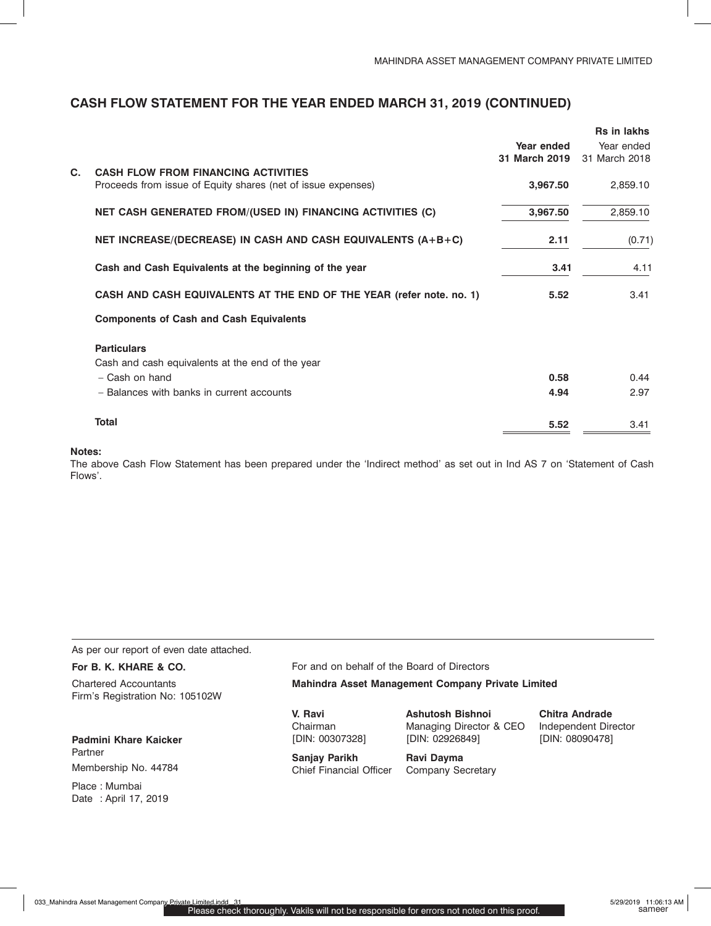# **CASH FLOW STATEMENT FOR THE YEAR ENDED MARCH 31, 2019 (Continued)**

|    |                                                                                                            |               | <b>Rs in lakhs</b> |
|----|------------------------------------------------------------------------------------------------------------|---------------|--------------------|
|    |                                                                                                            | Year ended    | Year ended         |
|    |                                                                                                            | 31 March 2019 | 31 March 2018      |
| C. | <b>CASH FLOW FROM FINANCING ACTIVITIES</b><br>Proceeds from issue of Equity shares (net of issue expenses) | 3,967.50      | 2,859.10           |
|    | NET CASH GENERATED FROM/(USED IN) FINANCING ACTIVITIES (C)                                                 | 3,967.50      | 2,859.10           |
|    | NET INCREASE/(DECREASE) IN CASH AND CASH EQUIVALENTS (A+B+C)                                               | 2.11          | (0.71)             |
|    | Cash and Cash Equivalents at the beginning of the year                                                     | 3.41          | 4.11               |
|    | CASH AND CASH EQUIVALENTS AT THE END OF THE YEAR (refer note. no. 1)                                       | 5.52          | 3.41               |
|    | <b>Components of Cash and Cash Equivalents</b>                                                             |               |                    |
|    | <b>Particulars</b>                                                                                         |               |                    |
|    | Cash and cash equivalents at the end of the year                                                           |               |                    |
|    | - Cash on hand                                                                                             | 0.58          | 0.44               |
|    | - Balances with banks in current accounts                                                                  | 4.94          | 2.97               |
|    | <b>Total</b>                                                                                               | 5.52          | 3.41               |
|    |                                                                                                            |               |                    |

# **Notes:**

The above Cash Flow Statement has been prepared under the 'Indirect method' as set out in Ind AS 7 on 'Statement of Cash Flows'.

As per our report of even date attached.

Chartered Accountants Firm's Registration No: 105102W

Partner Membership No. 44784

Place : Mumbai Date : April 17, 2019

**For B. K. KHARE & CO.** For and on behalf of the Board of Directors

# **Mahindra Asset Management Company Private Limited**

**V. Ravi** Chairman [DIN: 00307328]

**Ashutosh Bishnoi** Managing Director & CEO [DIN: 02926849] **Padmini Khare Kaicker** [DIN: 00307328] [DIN: 02926849] [DIN: 08090478]

**Chitra Andrade**  Independent Director

**Sanjay Parikh** Chief Financial Officer

**Ravi Dayma** Company Secretary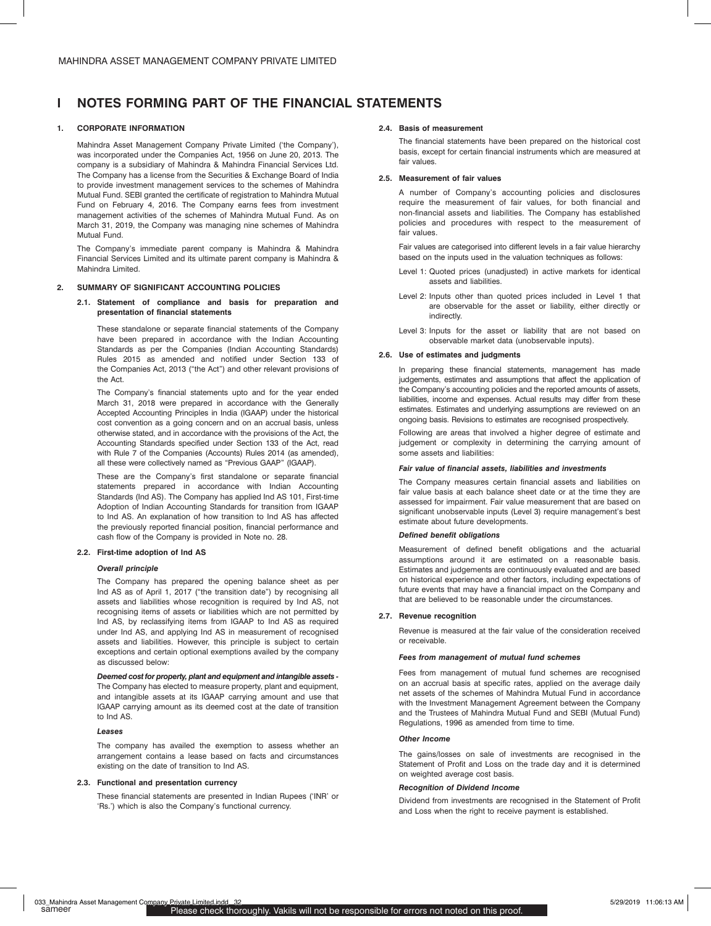# **I Notes forming part of the Financial Statements**

#### **1. CORPORATE INFORMATION**

 Mahindra Asset Management Company Private Limited ('the Company'), was incorporated under the Companies Act, 1956 on June 20, 2013. The company is a subsidiary of Mahindra & Mahindra Financial Services Ltd. The Company has a license from the Securities & Exchange Board of India to provide investment management services to the schemes of Mahindra Mutual Fund. SEBI granted the certificate of registration to Mahindra Mutual Fund on February 4, 2016. The Company earns fees from investment management activities of the schemes of Mahindra Mutual Fund. As on March 31, 2019, the Company was managing nine schemes of Mahindra Mutual Fund.

 The Company's immediate parent company is Mahindra & Mahindra Financial Services Limited and its ultimate parent company is Mahindra & Mahindra Limited.

#### **2. SUMMARY OF SIGNIFICANT ACCOUNTING POLICIES**

#### **2.1. Statement of compliance and basis for preparation and presentation of financial statements**

 These standalone or separate financial statements of the Company have been prepared in accordance with the Indian Accounting Standards as per the Companies (Indian Accounting Standards) Rules 2015 as amended and notified under Section 133 of the Companies Act, 2013 ("the Act") and other relevant provisions of the Act.

 The Company's financial statements upto and for the year ended March 31, 2018 were prepared in accordance with the Generally Accepted Accounting Principles in India (IGAAP) under the historical cost convention as a going concern and on an accrual basis, unless otherwise stated, and in accordance with the provisions of the Act, the Accounting Standards specified under Section 133 of the Act, read with Rule 7 of the Companies (Accounts) Rules 2014 (as amended), all these were collectively named as "Previous GAAP" (IGAAP).

 These are the Company's first standalone or separate financial statements prepared in accordance with Indian Accounting Standards (Ind AS). The Company has applied Ind AS 101, First-time Adoption of Indian Accounting Standards for transition from IGAAP to Ind AS. An explanation of how transition to Ind AS has affected the previously reported financial position, financial performance and cash flow of the Company is provided in Note no. 28.

#### **2.2. First-time adoption of Ind AS**

#### *Overall principle*

 The Company has prepared the opening balance sheet as per Ind AS as of April 1, 2017 ("the transition date") by recognising all assets and liabilities whose recognition is required by Ind AS, not recognising items of assets or liabilities which are not permitted by Ind AS, by reclassifying items from IGAAP to Ind AS as required under Ind AS, and applying Ind AS in measurement of recognised assets and liabilities. However, this principle is subject to certain exceptions and certain optional exemptions availed by the company as discussed below:

 *Deemed cost for property, plant and equipment and intangible assets -* The Company has elected to measure property, plant and equipment, and intangible assets at its IGAAP carrying amount and use that IGAAP carrying amount as its deemed cost at the date of transition to Ind AS.

#### *Leases*

 The company has availed the exemption to assess whether an arrangement contains a lease based on facts and circumstances existing on the date of transition to Ind AS.

#### **2.3. Functional and presentation currency**

 These financial statements are presented in Indian Rupees ('INR' or 'Rs.') which is also the Company's functional currency.

#### **2.4. Basis of measurement**

 The financial statements have been prepared on the historical cost basis, except for certain financial instruments which are measured at fair values.

#### **2.5. Measurement of fair values**

 A number of Company's accounting policies and disclosures require the measurement of fair values, for both financial and non-financial assets and liabilities. The Company has established policies and procedures with respect to the measurement of fair values.

 Fair values are categorised into different levels in a fair value hierarchy based on the inputs used in the valuation techniques as follows:

- Level 1: Quoted prices (unadjusted) in active markets for identical assets and liabilities.
- Level 2: Inputs other than quoted prices included in Level 1 that are observable for the asset or liability, either directly or indirectly.
- Level 3: Inputs for the asset or liability that are not based on observable market data (unobservable inputs).

#### **2.6. Use of estimates and judgments**

 In preparing these financial statements, management has made judgements, estimates and assumptions that affect the application of the Company's accounting policies and the reported amounts of assets, liabilities, income and expenses. Actual results may differ from these estimates. Estimates and underlying assumptions are reviewed on an ongoing basis. Revisions to estimates are recognised prospectively.

 Following are areas that involved a higher degree of estimate and judgement or complexity in determining the carrying amount of some assets and liabilities:

#### *Fair value of financial assets, liabilities and investments*

 The Company measures certain financial assets and liabilities on fair value basis at each balance sheet date or at the time they are assessed for impairment. Fair value measurement that are based on significant unobservable inputs (Level 3) require management's best estimate about future developments.

#### *Defined benefit obligations*

 Measurement of defined benefit obligations and the actuarial assumptions around it are estimated on a reasonable basis. Estimates and judgements are continuously evaluated and are based on historical experience and other factors, including expectations of future events that may have a financial impact on the Company and that are believed to be reasonable under the circumstances.

#### **2.7. Revenue recognition**

 Revenue is measured at the fair value of the consideration received or receivable.

#### *Fees from management of mutual fund schemes*

 Fees from management of mutual fund schemes are recognised on an accrual basis at specific rates, applied on the average daily net assets of the schemes of Mahindra Mutual Fund in accordance with the Investment Management Agreement between the Company and the Trustees of Mahindra Mutual Fund and SEBI (Mutual Fund) Regulations, 1996 as amended from time to time.

#### *Other Income*

 The gains/losses on sale of investments are recognised in the Statement of Profit and Loss on the trade day and it is determined on weighted average cost basis.

#### *Recognition of Dividend Income*

 Dividend from investments are recognised in the Statement of Profit and Loss when the right to receive payment is established.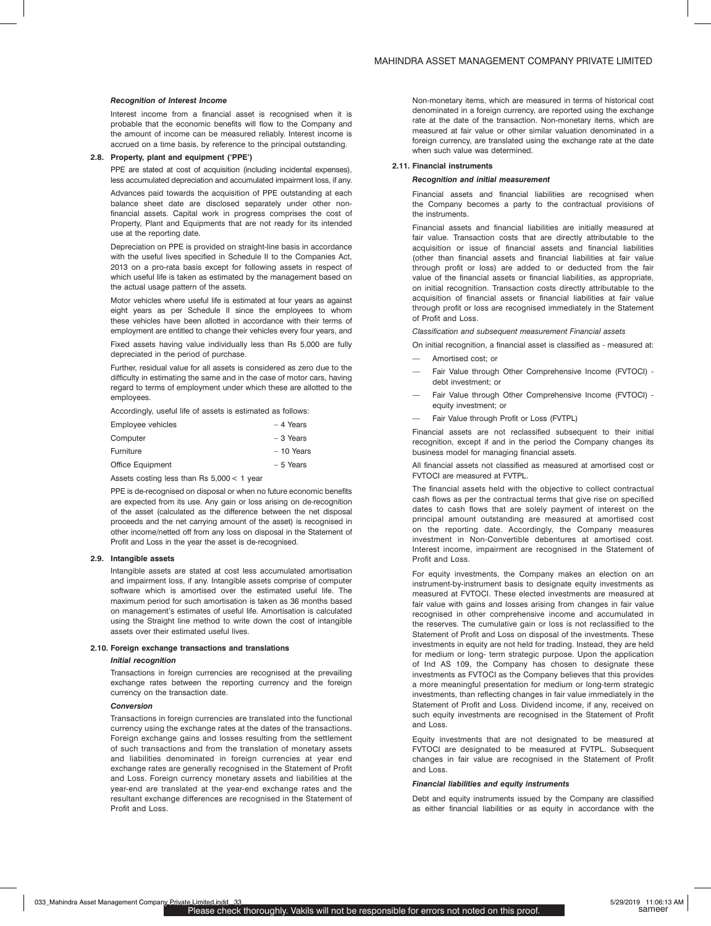#### *Recognition of Interest Income*

 Interest income from a financial asset is recognised when it is probable that the economic benefits will flow to the Company and the amount of income can be measured reliably. Interest income is accrued on a time basis, by reference to the principal outstanding.

#### **2.8. Property, plant and equipment ('PPE')**

 PPE are stated at cost of acquisition (including incidental expenses), less accumulated depreciation and accumulated impairment loss, if any.

 Advances paid towards the acquisition of PPE outstanding at each balance sheet date are disclosed separately under other nonfinancial assets. Capital work in progress comprises the cost of Property, Plant and Equipments that are not ready for its intended use at the reporting date.

 Depreciation on PPE is provided on straight-line basis in accordance with the useful lives specified in Schedule II to the Companies Act, 2013 on a pro-rata basis except for following assets in respect of which useful life is taken as estimated by the management based on the actual usage pattern of the assets.

 Motor vehicles where useful life is estimated at four years as against eight years as per Schedule II since the employees to whom these vehicles have been allotted in accordance with their terms of employment are entitled to change their vehicles every four years, and

 Fixed assets having value individually less than Rs 5,000 are fully depreciated in the period of purchase.

 Further, residual value for all assets is considered as zero due to the difficulty in estimating the same and in the case of motor cars, having regard to terms of employment under which these are allotted to the employees.

Accordingly, useful life of assets is estimated as follows:

| Employee vehicles | $-4$ Years  |
|-------------------|-------------|
| Computer          | - 3 Years   |
| Furniture         | $-10$ Years |
| Office Equipment  | $-5$ Years  |
|                   |             |

Assets costing less than Rs 5,000< 1 year

 PPE is de-recognised on disposal or when no future economic benefits are expected from its use. Any gain or loss arising on de-recognition of the asset (calculated as the difference between the net disposal proceeds and the net carrying amount of the asset) is recognised in other income/netted off from any loss on disposal in the Statement of Profit and Loss in the year the asset is de-recognised.

#### **2.9. Intangible assets**

 Intangible assets are stated at cost less accumulated amortisation and impairment loss, if any. Intangible assets comprise of computer software which is amortised over the estimated useful life. The maximum period for such amortisation is taken as 36 months based on management's estimates of useful life. Amortisation is calculated using the Straight line method to write down the cost of intangible assets over their estimated useful lives.

#### **2.10. Foreign exchange transactions and translations**

#### *Initial recognition*

 Transactions in foreign currencies are recognised at the prevailing exchange rates between the reporting currency and the foreign currency on the transaction date.

#### *Conversion*

 Transactions in foreign currencies are translated into the functional currency using the exchange rates at the dates of the transactions. Foreign exchange gains and losses resulting from the settlement of such transactions and from the translation of monetary assets and liabilities denominated in foreign currencies at year end exchange rates are generally recognised in the Statement of Profit and Loss. Foreign currency monetary assets and liabilities at the year-end are translated at the year-end exchange rates and the resultant exchange differences are recognised in the Statement of Profit and Loss.

 Non-monetary items, which are measured in terms of historical cost denominated in a foreign currency, are reported using the exchange rate at the date of the transaction. Non-monetary items, which are measured at fair value or other similar valuation denominated in a foreign currency, are translated using the exchange rate at the date when such value was determined.

## **2.11. Financial instruments**

#### *Recognition and initial measurement*

 Financial assets and financial liabilities are recognised when the Company becomes a party to the contractual provisions of the instruments.

 Financial assets and financial liabilities are initially measured at fair value. Transaction costs that are directly attributable to the acquisition or issue of financial assets and financial liabilities (other than financial assets and financial liabilities at fair value through profit or loss) are added to or deducted from the fair value of the financial assets or financial liabilities, as appropriate, on initial recognition. Transaction costs directly attributable to the acquisition of financial assets or financial liabilities at fair value through profit or loss are recognised immediately in the Statement of Profit and Loss.

*Classification and subsequent measurement Financial assets*

On initial recognition, a financial asset is classified as - measured at:

- Amortised cost; or
- Fair Value through Other Comprehensive Income (FVTOCI) debt investment; or
- Fair Value through Other Comprehensive Income (FVTOCI) equity investment; or
- Fair Value through Profit or Loss (FVTPL)

 Financial assets are not reclassified subsequent to their initial recognition, except if and in the period the Company changes its business model for managing financial assets.

 All financial assets not classified as measured at amortised cost or FVTOCI are measured at FVTPL.

 The financial assets held with the objective to collect contractual cash flows as per the contractual terms that give rise on specified dates to cash flows that are solely payment of interest on the principal amount outstanding are measured at amortised cost on the reporting date. Accordingly, the Company measures investment in Non-Convertible debentures at amortised cost. Interest income, impairment are recognised in the Statement of Profit and Loss.

 For equity investments, the Company makes an election on an instrument-by-instrument basis to designate equity investments as measured at FVTOCI. These elected investments are measured at fair value with gains and losses arising from changes in fair value recognised in other comprehensive income and accumulated in the reserves. The cumulative gain or loss is not reclassified to the Statement of Profit and Loss on disposal of the investments. These investments in equity are not held for trading. Instead, they are held for medium or long- term strategic purpose. Upon the application of Ind AS 109, the Company has chosen to designate these investments as FVTOCI as the Company believes that this provides a more meaningful presentation for medium or long-term strategic investments, than reflecting changes in fair value immediately in the Statement of Profit and Loss. Dividend income, if any, received on such equity investments are recognised in the Statement of Profit and Loss.

 Equity investments that are not designated to be measured at FVTOCI are designated to be measured at FVTPL. Subsequent changes in fair value are recognised in the Statement of Profit and Loss.

#### *Financial liabilities and equity instruments*

 Debt and equity instruments issued by the Company are classified as either financial liabilities or as equity in accordance with the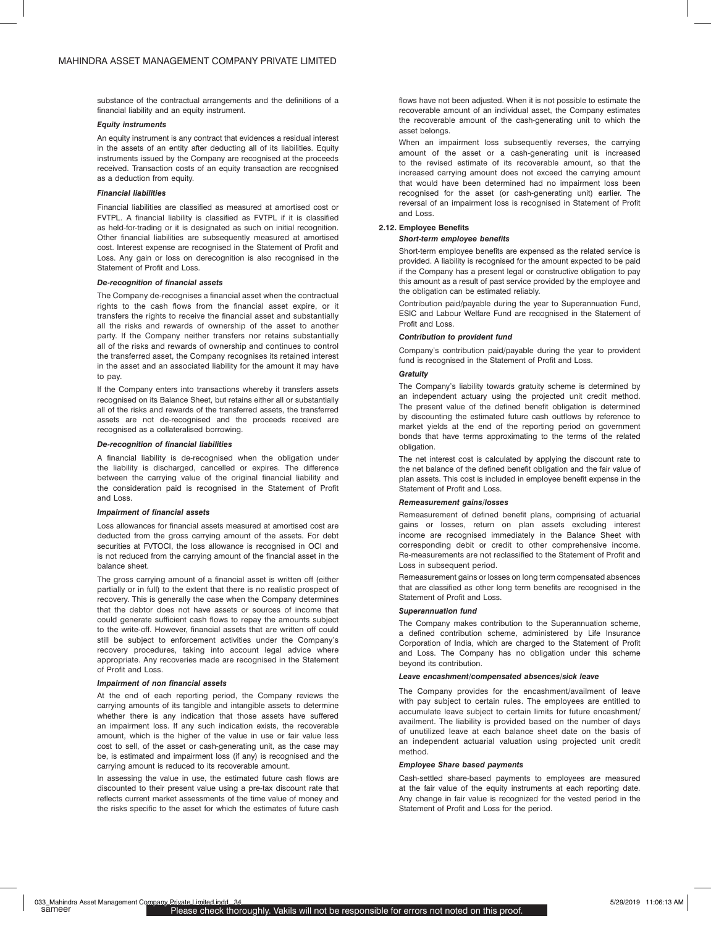substance of the contractual arrangements and the definitions of a financial liability and an equity instrument.

#### *Equity instruments*

 An equity instrument is any contract that evidences a residual interest in the assets of an entity after deducting all of its liabilities. Equity instruments issued by the Company are recognised at the proceeds received. Transaction costs of an equity transaction are recognised as a deduction from equity.

#### *Financial liabilities*

 Financial liabilities are classified as measured at amortised cost or FVTPL. A financial liability is classified as FVTPL if it is classified as held-for-trading or it is designated as such on initial recognition. Other financial liabilities are subsequently measured at amortised cost. Interest expense are recognised in the Statement of Profit and Loss. Any gain or loss on derecognition is also recognised in the Statement of Profit and Loss.

#### *De-recognition of financial assets*

 The Company de-recognises a financial asset when the contractual rights to the cash flows from the financial asset expire, or it transfers the rights to receive the financial asset and substantially all the risks and rewards of ownership of the asset to another party. If the Company neither transfers nor retains substantially all of the risks and rewards of ownership and continues to control the transferred asset, the Company recognises its retained interest in the asset and an associated liability for the amount it may have to pay.

 If the Company enters into transactions whereby it transfers assets recognised on its Balance Sheet, but retains either all or substantially all of the risks and rewards of the transferred assets, the transferred assets are not de-recognised and the proceeds received are recognised as a collateralised borrowing.

#### *De-recognition of financial liabilities*

 A financial liability is de-recognised when the obligation under the liability is discharged, cancelled or expires. The difference between the carrying value of the original financial liability and the consideration paid is recognised in the Statement of Profit and Loss.

#### *Impairment of financial assets*

 Loss allowances for financial assets measured at amortised cost are deducted from the gross carrying amount of the assets. For debt securities at FVTOCI, the loss allowance is recognised in OCI and is not reduced from the carrying amount of the financial asset in the balance sheet.

 The gross carrying amount of a financial asset is written off (either partially or in full) to the extent that there is no realistic prospect of recovery. This is generally the case when the Company determines that the debtor does not have assets or sources of income that could generate sufficient cash flows to repay the amounts subject to the write-off. However, financial assets that are written off could still be subject to enforcement activities under the Company's recovery procedures, taking into account legal advice where appropriate. Any recoveries made are recognised in the Statement of Profit and Loss.

#### *Impairment of non financial assets*

 At the end of each reporting period, the Company reviews the carrying amounts of its tangible and intangible assets to determine whether there is any indication that those assets have suffered an impairment loss. If any such indication exists, the recoverable amount, which is the higher of the value in use or fair value less cost to sell, of the asset or cash-generating unit, as the case may be, is estimated and impairment loss (if any) is recognised and the carrying amount is reduced to its recoverable amount.

 In assessing the value in use, the estimated future cash flows are discounted to their present value using a pre-tax discount rate that reflects current market assessments of the time value of money and the risks specific to the asset for which the estimates of future cash

flows have not been adjusted. When it is not possible to estimate the recoverable amount of an individual asset, the Company estimates the recoverable amount of the cash-generating unit to which the asset belongs.

 When an impairment loss subsequently reverses, the carrying amount of the asset or a cash-generating unit is increased to the revised estimate of its recoverable amount, so that the increased carrying amount does not exceed the carrying amount that would have been determined had no impairment loss been recognised for the asset (or cash-generating unit) earlier. The reversal of an impairment loss is recognised in Statement of Profit and Loss.

#### **2.12. Employee Benefits**

#### *Short-term employee benefits*

 Short-term employee benefits are expensed as the related service is provided. A liability is recognised for the amount expected to be paid if the Company has a present legal or constructive obligation to pay this amount as a result of past service provided by the employee and the obligation can be estimated reliably.

 Contribution paid/payable during the year to Superannuation Fund, ESIC and Labour Welfare Fund are recognised in the Statement of Profit and Loss.

#### *Contribution to provident fund*

 Company's contribution paid/payable during the year to provident fund is recognised in the Statement of Profit and Loss.

#### *Gratuity*

 The Company's liability towards gratuity scheme is determined by an independent actuary using the projected unit credit method. The present value of the defined benefit obligation is determined by discounting the estimated future cash outflows by reference to market yields at the end of the reporting period on government bonds that have terms approximating to the terms of the related obligation.

 The net interest cost is calculated by applying the discount rate to the net balance of the defined benefit obligation and the fair value of plan assets. This cost is included in employee benefit expense in the Statement of Profit and Loss.

#### *Remeasurement gains/losses*

 Remeasurement of defined benefit plans, comprising of actuarial gains or losses, return on plan assets excluding interest income are recognised immediately in the Balance Sheet with corresponding debit or credit to other comprehensive income. Re-measurements are not reclassified to the Statement of Profit and Loss in subsequent period.

 Remeasurement gains or losses on long term compensated absences that are classified as other long term benefits are recognised in the Statement of Profit and Loss.

#### *Superannuation fund*

 The Company makes contribution to the Superannuation scheme, a defined contribution scheme, administered by Life Insurance Corporation of India, which are charged to the Statement of Profit and Loss. The Company has no obligation under this scheme beyond its contribution.

#### *Leave encashment/compensated absences/sick leave*

 The Company provides for the encashment/availment of leave with pay subject to certain rules. The employees are entitled to accumulate leave subject to certain limits for future encashment/ availment. The liability is provided based on the number of days of unutilized leave at each balance sheet date on the basis of an independent actuarial valuation using projected unit credit method.

#### *Employee Share based payments*

 Cash-settled share-based payments to employees are measured at the fair value of the equity instruments at each reporting date. Any change in fair value is recognized for the vested period in the Statement of Profit and Loss for the period.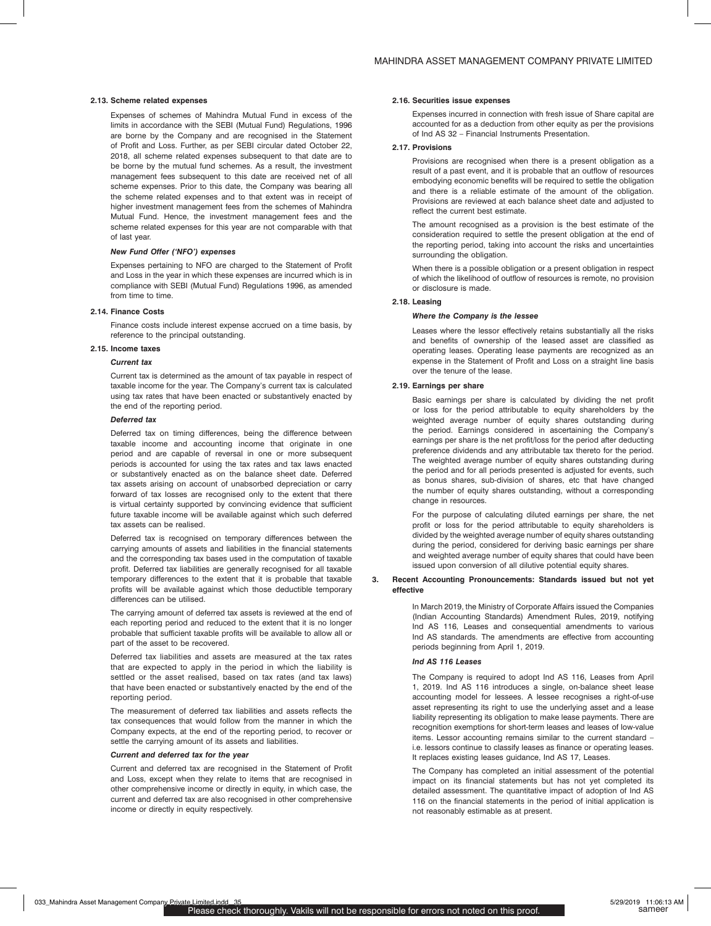#### **2.13. Scheme related expenses**

 Expenses of schemes of Mahindra Mutual Fund in excess of the limits in accordance with the SEBI (Mutual Fund) Regulations, 1996 are borne by the Company and are recognised in the Statement of Profit and Loss. Further, as per SEBI circular dated October 22, 2018, all scheme related expenses subsequent to that date are to be borne by the mutual fund schemes. As a result, the investment management fees subsequent to this date are received net of all scheme expenses. Prior to this date, the Company was bearing all the scheme related expenses and to that extent was in receipt of higher investment management fees from the schemes of Mahindra Mutual Fund. Hence, the investment management fees and the scheme related expenses for this year are not comparable with that of last year.

#### *New Fund Offer ('NFO') expenses*

 Expenses pertaining to NFO are charged to the Statement of Profit and Loss in the year in which these expenses are incurred which is in compliance with SEBI (Mutual Fund) Regulations 1996, as amended from time to time.

#### **2.14. Finance Costs**

 Finance costs include interest expense accrued on a time basis, by reference to the principal outstanding.

#### **2.15. Income taxes**

#### *Current tax*

 Current tax is determined as the amount of tax payable in respect of taxable income for the year. The Company's current tax is calculated using tax rates that have been enacted or substantively enacted by the end of the reporting period.

#### *Deferred tax*

 Deferred tax on timing differences, being the difference between taxable income and accounting income that originate in one period and are capable of reversal in one or more subsequent periods is accounted for using the tax rates and tax laws enacted or substantively enacted as on the balance sheet date. Deferred tax assets arising on account of unabsorbed depreciation or carry forward of tax losses are recognised only to the extent that there is virtual certainty supported by convincing evidence that sufficient future taxable income will be available against which such deferred tax assets can be realised.

 Deferred tax is recognised on temporary differences between the carrying amounts of assets and liabilities in the financial statements and the corresponding tax bases used in the computation of taxable profit. Deferred tax liabilities are generally recognised for all taxable temporary differences to the extent that it is probable that taxable profits will be available against which those deductible temporary differences can be utilised.

 The carrying amount of deferred tax assets is reviewed at the end of each reporting period and reduced to the extent that it is no longer probable that sufficient taxable profits will be available to allow all or part of the asset to be recovered.

 Deferred tax liabilities and assets are measured at the tax rates that are expected to apply in the period in which the liability is settled or the asset realised, based on tax rates (and tax laws) that have been enacted or substantively enacted by the end of the reporting period.

 The measurement of deferred tax liabilities and assets reflects the tax consequences that would follow from the manner in which the Company expects, at the end of the reporting period, to recover or settle the carrying amount of its assets and liabilities.

#### *Current and deferred tax for the year*

 Current and deferred tax are recognised in the Statement of Profit and Loss, except when they relate to items that are recognised in other comprehensive income or directly in equity, in which case, the current and deferred tax are also recognised in other comprehensive income or directly in equity respectively.

#### **2.16. Securities issue expenses**

 Expenses incurred in connection with fresh issue of Share capital are accounted for as a deduction from other equity as per the provisions of Ind AS 32 – Financial Instruments Presentation.

#### **2.17. Provisions**

 Provisions are recognised when there is a present obligation as a result of a past event, and it is probable that an outflow of resources embodying economic benefits will be required to settle the obligation and there is a reliable estimate of the amount of the obligation. Provisions are reviewed at each balance sheet date and adjusted to reflect the current best estimate.

 The amount recognised as a provision is the best estimate of the consideration required to settle the present obligation at the end of the reporting period, taking into account the risks and uncertainties surrounding the obligation.

 When there is a possible obligation or a present obligation in respect of which the likelihood of outflow of resources is remote, no provision or disclosure is made.

#### **2.18. Leasing**

#### *Where the Company is the lessee*

 Leases where the lessor effectively retains substantially all the risks and benefits of ownership of the leased asset are classified as operating leases. Operating lease payments are recognized as an expense in the Statement of Profit and Loss on a straight line basis over the tenure of the lease.

#### **2.19. Earnings per share**

 Basic earnings per share is calculated by dividing the net profit or loss for the period attributable to equity shareholders by the weighted average number of equity shares outstanding during the period. Earnings considered in ascertaining the Company's earnings per share is the net profit/loss for the period after deducting preference dividends and any attributable tax thereto for the period. The weighted average number of equity shares outstanding during the period and for all periods presented is adjusted for events, such as bonus shares, sub-division of shares, etc that have changed the number of equity shares outstanding, without a corresponding change in resources.

 For the purpose of calculating diluted earnings per share, the net profit or loss for the period attributable to equity shareholders is divided by the weighted average number of equity shares outstanding during the period, considered for deriving basic earnings per share and weighted average number of equity shares that could have been issued upon conversion of all dilutive potential equity shares.

#### **3. Recent Accounting Pronouncements: Standards issued but not yet effective**

 In March 2019, the Ministry of Corporate Affairs issued the Companies (Indian Accounting Standards) Amendment Rules, 2019, notifying Ind AS 116, Leases and consequential amendments to various Ind AS standards. The amendments are effective from accounting periods beginning from April 1, 2019.

#### *Ind AS 116 Leases*

 The Company is required to adopt Ind AS 116, Leases from April 1, 2019. Ind AS 116 introduces a single, on-balance sheet lease accounting model for lessees. A lessee recognises a right-of-use asset representing its right to use the underlying asset and a lease liability representing its obligation to make lease payments. There are recognition exemptions for short-term leases and leases of low-value items. Lessor accounting remains similar to the current standard – i.e. lessors continue to classify leases as finance or operating leases. It replaces existing leases guidance, Ind AS 17, Leases.

 The Company has completed an initial assessment of the potential impact on its financial statements but has not yet completed its detailed assessment. The quantitative impact of adoption of Ind AS 116 on the financial statements in the period of initial application is not reasonably estimable as at present.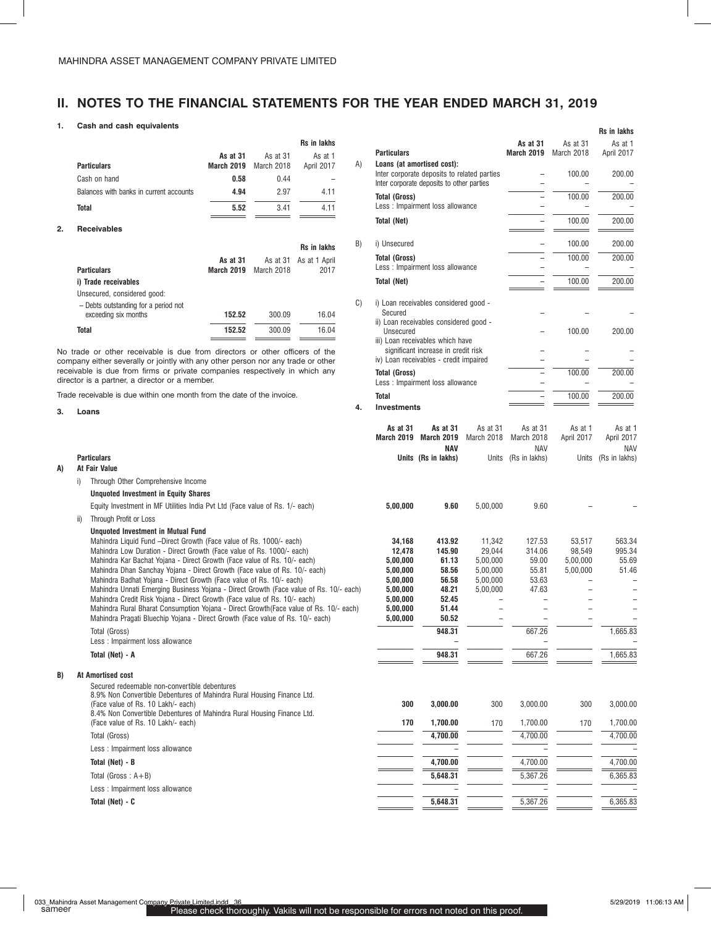# **II. NOTES TO THE FINANCIAL STATEMENTS FOR THE YEAR ENDED MARCH 31, 2019**

 **Rs in lakhs** 

**1. Cash and cash equivalents**

|    |       |                                                                                                                                                                          |                   |              | Rs in lakhs              |    |                      |                                                                               |                                                      | As at 31                          | As at 31   | As at 1                           |
|----|-------|--------------------------------------------------------------------------------------------------------------------------------------------------------------------------|-------------------|--------------|--------------------------|----|----------------------|-------------------------------------------------------------------------------|------------------------------------------------------|-----------------------------------|------------|-----------------------------------|
|    |       |                                                                                                                                                                          | As at 31          | As at 31     | As at 1                  |    | <b>Particulars</b>   |                                                                               |                                                      | March 2019 March 2018             |            | April 2017                        |
|    |       | <b>Particulars</b>                                                                                                                                                       | <b>March 2019</b> | March 2018   | April 2017               | A) |                      | Loans (at amortised cost):<br>Inter corporate deposits to related parties     |                                                      |                                   | 100.00     | 200.00                            |
|    |       | Cash on hand                                                                                                                                                             | 0.58              | 0.44         | $\overline{\phantom{0}}$ |    |                      | Inter corporate deposits to other parties                                     |                                                      |                                   |            |                                   |
|    |       | Balances with banks in current accounts                                                                                                                                  | 4.94              | 2.97<br>3.41 | 4.11<br>4.11             |    | <b>Total (Gross)</b> | Less : Impairment loss allowance                                              |                                                      | $\equiv$                          | 100.00     | 200.00                            |
|    | Total |                                                                                                                                                                          | 5.52              |              |                          |    | Total (Net)          |                                                                               |                                                      |                                   | 100.00     | 200.00                            |
| 2. |       | <b>Receivables</b>                                                                                                                                                       |                   |              |                          |    |                      |                                                                               |                                                      |                                   |            |                                   |
|    |       |                                                                                                                                                                          |                   |              | Rs in lakhs              | B) | i) Unsecured         |                                                                               |                                                      |                                   | 100.00     | 200.00                            |
|    |       |                                                                                                                                                                          | As at 31          | As at 31     | As at 1 April            |    | <b>Total (Gross)</b> |                                                                               |                                                      |                                   | 100.00     | 200.00                            |
|    |       | <b>Particulars</b>                                                                                                                                                       | <b>March 2019</b> | March 2018   | 2017                     |    |                      | Less : Impairment loss allowance                                              |                                                      |                                   |            |                                   |
|    |       | i) Trade receivables<br>Unsecured, considered good:                                                                                                                      |                   |              |                          |    | Total (Net)          |                                                                               |                                                      |                                   | 100.00     | 200.00                            |
|    |       | - Debts outstanding for a period not                                                                                                                                     |                   |              |                          | C) |                      | i) Loan receivables considered good -                                         |                                                      |                                   |            |                                   |
|    |       | exceeding six months                                                                                                                                                     | 152.52            | 300.09       | 16.04                    |    | Secured              | ii) Loan receivables considered good -                                        |                                                      |                                   |            |                                   |
|    | Total |                                                                                                                                                                          | 152.52            | 300.09       | 16.04                    |    | Unsecured            |                                                                               |                                                      |                                   | 100.00     | 200.00                            |
|    |       |                                                                                                                                                                          |                   |              |                          |    |                      | iii) Loan receivables which have                                              |                                                      |                                   |            |                                   |
|    |       | No trade or other receivable is due from directors or other officers of the<br>company either severally or jointly with any other person nor any trade or other          |                   |              |                          |    |                      | significant increase in credit risk<br>iv) Loan receivables - credit impaired |                                                      | ÷                                 | Ē,         |                                   |
|    |       | receivable is due from firms or private companies respectively in which any                                                                                              |                   |              |                          |    | <b>Total (Gross)</b> |                                                                               |                                                      |                                   | 100.00     | 200.00                            |
|    |       | director is a partner, a director or a member.                                                                                                                           |                   |              |                          |    |                      | Less : Impairment loss allowance                                              |                                                      |                                   |            |                                   |
|    |       | Trade receivable is due within one month from the date of the invoice.                                                                                                   |                   |              |                          |    | <b>Total</b>         |                                                                               |                                                      | $\overline{\phantom{0}}$          | 100.00     | 200.00                            |
| 3. |       | Loans                                                                                                                                                                    |                   |              |                          | 4. | Investments          |                                                                               |                                                      |                                   |            |                                   |
|    |       |                                                                                                                                                                          |                   |              |                          |    | As at 31             | As at 31                                                                      | As at 31                                             | As at 31                          | As at 1    | As at 1                           |
|    |       |                                                                                                                                                                          |                   |              |                          |    | <b>March 2019</b>    | March 2019                                                                    | March 2018                                           | March 2018                        | April 2017 | April 2017                        |
|    |       | <b>Particulars</b>                                                                                                                                                       |                   |              |                          |    |                      | <b>NAV</b><br>Units (Rs in lakhs)                                             |                                                      | <b>NAV</b><br>Units (Rs in lakhs) |            | <b>NAV</b><br>Units (Rs in lakhs) |
| A) |       | At Fair Value                                                                                                                                                            |                   |              |                          |    |                      |                                                                               |                                                      |                                   |            |                                   |
|    | i)    | Through Other Comprehensive Income                                                                                                                                       |                   |              |                          |    |                      |                                                                               |                                                      |                                   |            |                                   |
|    |       | <b>Unquoted Investment in Equity Shares</b>                                                                                                                              |                   |              |                          |    |                      |                                                                               |                                                      |                                   |            |                                   |
|    |       | Equity Investment in MF Utilities India Pvt Ltd (Face value of Rs. 1/- each)                                                                                             |                   |              |                          |    | 5,00,000             | 9.60                                                                          | 5,00,000                                             | 9.60                              |            |                                   |
|    | ii)   | Through Profit or Loss                                                                                                                                                   |                   |              |                          |    |                      |                                                                               |                                                      |                                   |            |                                   |
|    |       | <b>Unquoted Investment in Mutual Fund</b><br>Mahindra Liquid Fund - Direct Growth (Face value of Rs. 1000/- each)                                                        |                   |              |                          |    | 34,168               | 413.92                                                                        | 11,342                                               | 127.53                            | 53,517     | 563.34                            |
|    |       | Mahindra Low Duration - Direct Growth (Face value of Rs. 1000/- each)                                                                                                    |                   |              |                          |    | 12,478               | 145.90                                                                        | 29,044                                               | 314.06                            | 98,549     | 995.34                            |
|    |       | Mahindra Kar Bachat Yojana - Direct Growth (Face value of Rs. 10/- each)                                                                                                 |                   |              |                          |    | 5,00,000             | 61.13                                                                         | 5,00,000                                             | 59.00                             | 5,00,000   | 55.69                             |
|    |       | Mahindra Dhan Sanchay Yojana - Direct Growth (Face value of Rs. 10/- each)<br>Mahindra Badhat Yojana - Direct Growth (Face value of Rs. 10/- each)                       |                   |              |                          |    | 5,00,000<br>5,00,000 | 58.56<br>56.58                                                                | 5,00,000<br>5,00,000                                 | 55.81<br>53.63                    | 5,00,000   | 51.46                             |
|    |       | Mahindra Unnati Emerging Business Yojana - Direct Growth (Face value of Rs. 10/- each)                                                                                   |                   |              |                          |    | 5,00,000             | 48.21                                                                         | 5,00,000                                             | 47.63                             |            |                                   |
|    |       | Mahindra Credit Risk Yojana - Direct Growth (Face value of Rs. 10/- each)                                                                                                |                   |              |                          |    | 5,00,000             | 52.45                                                                         |                                                      |                                   |            |                                   |
|    |       | Mahindra Rural Bharat Consumption Yojana - Direct Growth (Face value of Rs. 10/- each)<br>Mahindra Pragati Bluechip Yojana - Direct Growth (Face value of Rs. 10/- each) |                   |              |                          |    | 5,00,000<br>5,00,000 | 51.44<br>50.52                                                                | $\overline{\phantom{0}}$<br>$\overline{\phantom{a}}$ |                                   |            |                                   |
|    |       | Total (Gross)                                                                                                                                                            |                   |              |                          |    |                      | 948.31                                                                        |                                                      | 667.26                            |            | 1,665.83                          |
|    |       | Less : Impairment loss allowance                                                                                                                                         |                   |              |                          |    |                      |                                                                               |                                                      |                                   |            |                                   |
|    |       | Total (Net) - A                                                                                                                                                          |                   |              |                          |    |                      | 948.31                                                                        |                                                      | 667.26                            |            | 1,665.83                          |
| B) |       | At Amortised cost                                                                                                                                                        |                   |              |                          |    |                      |                                                                               |                                                      |                                   |            |                                   |
|    |       | Secured redeemable non-convertible debentures                                                                                                                            |                   |              |                          |    |                      |                                                                               |                                                      |                                   |            |                                   |
|    |       | 8.9% Non Convertible Debentures of Mahindra Rural Housing Finance Ltd.                                                                                                   |                   |              |                          |    |                      |                                                                               |                                                      |                                   |            |                                   |
|    |       | (Face value of Rs. 10 Lakh/- each)<br>8.4% Non Convertible Debentures of Mahindra Rural Housing Finance Ltd.                                                             |                   |              |                          |    | 300                  | 3,000.00                                                                      | 300                                                  | 3,000.00                          | 300        | 3,000.00                          |
|    |       | (Face value of Rs. 10 Lakh/- each)                                                                                                                                       |                   |              |                          |    | 170                  | 1,700.00                                                                      | 170                                                  | 1,700.00                          | 170        | 1,700.00                          |
|    |       | Total (Gross)                                                                                                                                                            |                   |              |                          |    |                      | 4,700.00                                                                      |                                                      | 4,700.00                          |            | 4,700.00                          |
|    |       | Less : Impairment loss allowance                                                                                                                                         |                   |              |                          |    |                      |                                                                               |                                                      |                                   |            |                                   |
|    |       | Total (Net) - B                                                                                                                                                          |                   |              |                          |    |                      | 4,700.00                                                                      |                                                      | 4,700.00                          |            | 4,700.00                          |
|    |       | Total (Gross : $A + B$ )                                                                                                                                                 |                   |              |                          |    |                      | 5,648.31                                                                      |                                                      | 5,367.26                          |            | 6,365.83                          |
|    |       | Less : Impairment loss allowance                                                                                                                                         |                   |              |                          |    |                      |                                                                               |                                                      |                                   |            |                                   |
|    |       | Total (Net) - C                                                                                                                                                          |                   |              |                          |    |                      | 5,648.31                                                                      |                                                      | 5,367.26                          |            | 6,365.83                          |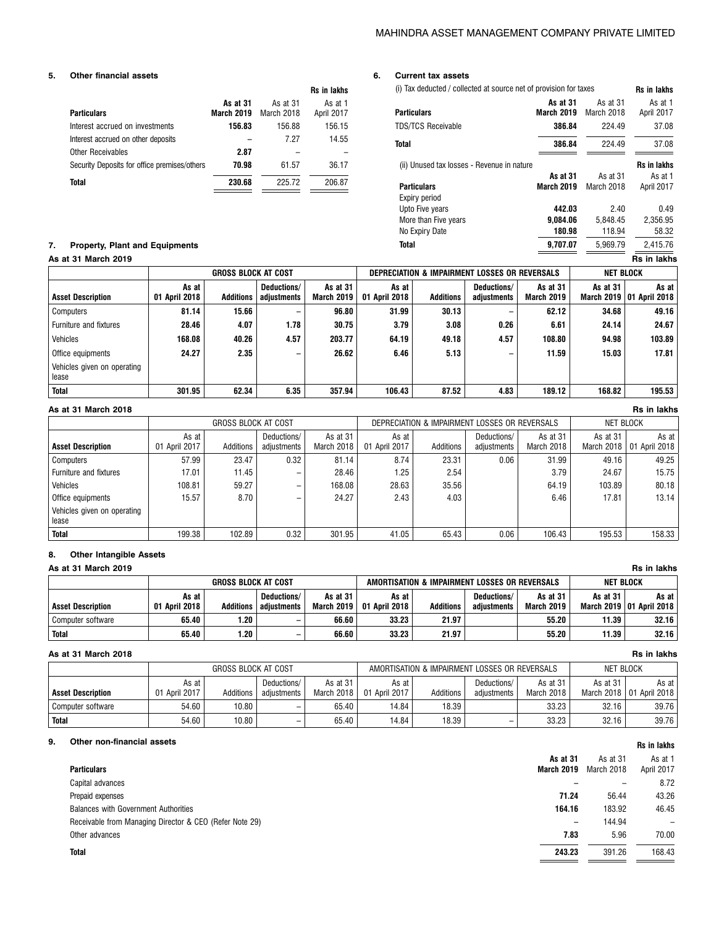# Mahindra asset ManageMent CoMpany private LiMited

#### **5. Other financial assets**

|                                              |                               |                        | Rs in lakhs           |
|----------------------------------------------|-------------------------------|------------------------|-----------------------|
| <b>Particulars</b>                           | As at 31<br><b>March 2019</b> | As at 31<br>March 2018 | As at 1<br>April 2017 |
| Interest accrued on investments              | 156.83                        | 156.88                 | 156.15                |
| Interest accrued on other deposits           |                               | 7 27                   | 14.55                 |
| <b>Other Receivables</b>                     | 2.87                          |                        |                       |
| Security Deposits for office premises/others | 70.98                         | 61.57                  | 36.17                 |
| <b>Total</b>                                 | 230.68                        | 225.72                 | 206.87                |

# **6. Current tax assets**

 **Rs in lakhs**  (i) Tax deducted / collected at source net of provision for taxes

|    | <b>Particulars</b>                                      | As at 31<br><b>March 2019</b> | As at 31<br>March 2018 | As at 1<br>April 2017 | <b>Particulars</b>                         | As at 31<br><b>March 2019</b> | As at 31<br>March 2018 | As at 1<br>April 2017 |
|----|---------------------------------------------------------|-------------------------------|------------------------|-----------------------|--------------------------------------------|-------------------------------|------------------------|-----------------------|
|    | Interest accrued on investments                         | 156.83                        | 156.88                 | 156.15                | <b>TDS/TCS Receivable</b>                  | 386.84                        | 224.49                 | 37.08                 |
|    | Interest accrued on other deposits<br>Other Receivables | -<br>2.87                     | 7.27<br>-              | 14.55                 | <b>Total</b>                               | 386.84                        | 224.49                 | 37.08                 |
|    | Security Deposits for office premises/others            | 70.98                         | 61.57                  | 36.17                 | (ii) Unused tax losses - Revenue in nature |                               |                        | Rs in lakhs           |
|    | <b>Total</b>                                            | 230.68                        | 225.72                 | 206.87                | <b>Particulars</b><br>Expiry period        | As at 31<br><b>March 2019</b> | As at 31<br>March 2018 | As at 1<br>April 2017 |
|    |                                                         |                               |                        |                       | Upto Five years                            | 442.03                        | 2.40                   | 0.49                  |
|    |                                                         |                               |                        |                       | More than Five years                       | 9.084.06                      | 5.848.45               | 2,356.95              |
|    |                                                         |                               |                        |                       | No Expiry Date                             | 180.98                        | 118.94                 | 58.32                 |
| 7. | <b>Property, Plant and Equipments</b>                   |                               |                        |                       | Total                                      | 9.707.07                      | 5.969.79               | 2,415.76              |
|    | As at 31 March 2019                                     |                               |                        |                       |                                            |                               |                        | Rs in lakhs           |

# **7. Property, Plant and Equipments**

| <b>GROSS BLOCK AT COST</b>           |                        |                  |                            |                               | DEPRECIATION & IMPAIRMENT LOSSES OR REVERSALS |                  |                            |                               | NET BLOCK                     |                         |
|--------------------------------------|------------------------|------------------|----------------------------|-------------------------------|-----------------------------------------------|------------------|----------------------------|-------------------------------|-------------------------------|-------------------------|
| <b>Asset Description</b>             | As at<br>01 April 2018 | <b>Additions</b> | Deductions/<br>adiustments | As at 31<br><b>March 2019</b> | As at<br>01 April 2018                        | <b>Additions</b> | Deductions/<br>adjustments | As at 31<br><b>March 2019</b> | As at 31<br><b>March 2019</b> | Asat<br>  01 April 2018 |
| Computers                            | 81.14                  | 15.66            |                            | 96.80                         | 31.99                                         | 30.13            |                            | 62.12                         | 34.68                         | 49.16                   |
| Furniture and fixtures               | 28.46                  | 4.07             | 1.78                       | 30.75                         | 3.79                                          | 3.08             | 0.26                       | 6.61                          | 24.14                         | 24.67                   |
| Vehicles                             | 168.08                 | 40.26            | 4.57                       | 203.77                        | 64.19                                         | 49.18            | 4.57                       | 108.80                        | 94.98                         | 103.89                  |
| Office equipments                    | 24.27                  | 2.35             |                            | 26.62                         | 6.46                                          | 5.13             | -                          | 11.59                         | 15.03                         | 17.81                   |
| Vehicles given on operating<br>lease |                        |                  |                            |                               |                                               |                  |                            |                               |                               |                         |
| <b>Total</b>                         | 301.95                 | 62.34            | 6.35                       | 357.94                        | 106.43                                        | 87.52            | 4.83                       | 189.12                        | 168.82                        | 195.53                  |
| Rs in lakhs<br>As at 31 March 2018   |                        |                  |                            |                               |                                               |                  |                            |                               |                               |                         |

| GROSS BLOCK AT COST         |               |           |             | DEPRECIATION & IMPAIRMENT LOSSES OR REVERSALS |               |           |             | <b>NET BLOCK</b> |          |                            |
|-----------------------------|---------------|-----------|-------------|-----------------------------------------------|---------------|-----------|-------------|------------------|----------|----------------------------|
|                             | As at         |           | Deductions/ | As at 31                                      | As at         |           | Deductions/ | As at 31         | As at 31 | As at                      |
| <b>Asset Description</b>    | 01 April 2017 | Additions | adjustments | March 2018                                    | 01 April 2017 | Additions | adjustments | March 2018       |          | March 2018   01 April 2018 |
| Computers                   | 57.99         | 23.47     | 0.32        | 81.14                                         | 8.74          | 23.31     | 0.06        | 31.99            | 49.16    | 49.25                      |
| Furniture and fixtures      | 17.01         | 11.45     | -           | 28.46                                         | 1.25          | 2.54      |             | 3.79             | 24.67    | 15.75                      |
| Vehicles                    | 108.81        | 59.27     | -           | 168.08                                        | 28.63         | 35.56     |             | 64.19            | 103.89   | 80.18                      |
| Office equipments           | 15.57         | 8.70      | -           | 24.27                                         | 2.43          | 4.03      |             | 6.46             | 17.81    | 13.14                      |
| Vehicles given on operating |               |           |             |                                               |               |           |             |                  |          |                            |
| lease                       |               |           |             |                                               |               |           |             |                  |          |                            |
| <b>Total</b>                | 199.38        | 102.89    | 0.32        | 301.95                                        | 41.05         | 65.43     | 0.06        | 106.43           | 195.53   | 158.33                     |

# **8. Other Intangible Assets**

| As at 31 March 2019      | <b>Rs</b> in lakhs         |           |                            |                        |                                               |                  |                            |                               |                  |                                     |  |
|--------------------------|----------------------------|-----------|----------------------------|------------------------|-----------------------------------------------|------------------|----------------------------|-------------------------------|------------------|-------------------------------------|--|
|                          | <b>GROSS BLOCK AT COST</b> |           |                            |                        | AMORTISATION & IMPAIRMENT LOSSES OR REVERSALS |                  |                            |                               | <b>NET BLOCK</b> |                                     |  |
| <b>Asset Description</b> | As at<br>01 April 2018     | Additions | Deductions/<br>adiustments | As at 31<br>March 2019 | As at<br>01 April 2018                        | <b>Additions</b> | Deductions/<br>adiustments | As at 31<br><b>March 2019</b> | As at 31         | As at<br>March 2019   01 April 2018 |  |
|                          |                            |           |                            |                        |                                               |                  |                            |                               |                  |                                     |  |
| Computer software        | 65.40                      | . 20      | -                          | 66.60                  | 33.23                                         | 21.97            |                            | 55.20                         | 11.39            | 32.16                               |  |
| <b>Total</b>             | 65.40                      | . 20. ،   | -                          | 66.60                  | 33.23                                         | 21.97            |                            | 55.20                         | 11.39            | 32.16                               |  |

# **As at 31 March 2018 Rs in lakhs**

|                          | GROSS BLOCK AT COST |           |                            |                        | AMORTISATION & IMPAIRMENT LOSSES OR REVERSALS |           |                            |                        | <b>NET BLOCK</b> |                                     |
|--------------------------|---------------------|-----------|----------------------------|------------------------|-----------------------------------------------|-----------|----------------------------|------------------------|------------------|-------------------------------------|
| <b>Asset Description</b> | As at<br>April 2017 | Additions | Deductions/<br>adiustments | As at 31<br>March 2018 | As at<br>01 April 2017                        | Additions | Deductions/<br>adiustments | As at 31<br>March 2018 | As at 31         | As at<br>March 2018   01 April 2018 |
| Computer software        | 54.60               | 10.80     | $\overline{\phantom{0}}$   | 65.40                  | 14.84                                         | 18.39     |                            | 33.23                  | 32.16            | 39.76                               |
| <b>Total</b>             | 54.60               | 10.80     | -                          | 65.40                  | 14.84                                         | 18.39     |                            | 33.23                  | 32.16            | 39.76                               |

# **9. Other non-financial assets Rs in lakhs**

| <b>Particulars</b>                                      | As at 31<br><b>March 2019</b> | As at 31<br>March 2018 | As at 1<br>April 2017    |
|---------------------------------------------------------|-------------------------------|------------------------|--------------------------|
| Capital advances                                        |                               | -                      | 8.72                     |
| Prepaid expenses                                        | 71.24                         | 56.44                  | 43.26                    |
| <b>Balances with Government Authorities</b>             | 164.16                        | 183.92                 | 46.45                    |
| Receivable from Managing Director & CEO (Refer Note 29) | -                             | 144.94                 | $\overline{\phantom{0}}$ |
| Other advances                                          | 7.83                          | 5.96                   | 70.00                    |
| <b>Total</b>                                            | 243.23                        | 391.26                 | 168.43                   |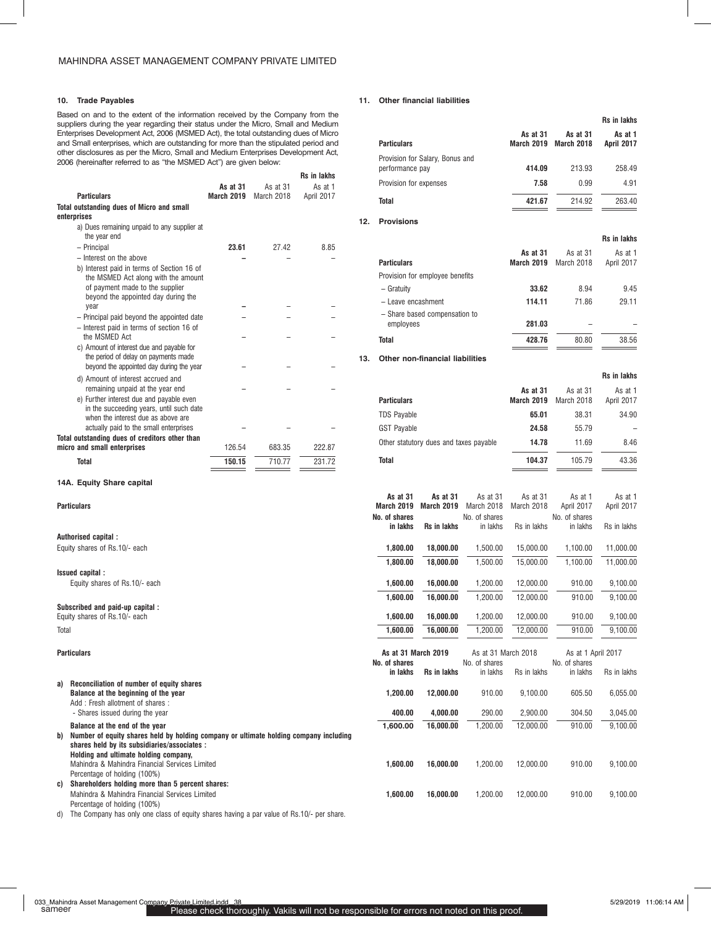### **10. Trade Payables**

Based on and to the extent of the information received by the Company from the suppliers during the year regarding their status under the Micro, Small and Medium Enterprises Development Act, 2006 (MSMED Act), the total outstanding dues of Micro and Small enterprises, which are outstanding for more than the stipulated period and other disclosures as per the Micro, Small and Medium Enterprises Development Act, 2006 (hereinafter referred to as "the MSMED Act") are given below:

|                                                                                                                                                                                                     | As at 31          | As at 31   | <b>Rs in lakhs</b><br>As at 1 |
|-----------------------------------------------------------------------------------------------------------------------------------------------------------------------------------------------------|-------------------|------------|-------------------------------|
| <b>Particulars</b>                                                                                                                                                                                  | <b>March 2019</b> | March 2018 | April 2017                    |
| <b>Total outstanding dues of Micro and small</b><br>enterprises                                                                                                                                     |                   |            |                               |
| a) Dues remaining unpaid to any supplier at<br>the year end                                                                                                                                         |                   |            |                               |
| - Principal                                                                                                                                                                                         | 23.61             | 27.42      | 8.85                          |
| $-$ Interest on the above<br>b) Interest paid in terms of Section 16 of<br>the MSMED Act along with the amount<br>of payment made to the supplier<br>beyond the appointed day during the            |                   |            |                               |
| year                                                                                                                                                                                                |                   |            |                               |
| - Principal paid beyond the appointed date<br>- Interest paid in terms of section 16 of<br>the MSMED Act                                                                                            |                   |            |                               |
| c) Amount of interest due and payable for<br>the period of delay on payments made<br>beyond the appointed day during the year                                                                       |                   |            |                               |
| d) Amount of interest accrued and<br>remaining unpaid at the year end<br>e) Further interest due and payable even<br>in the succeeding years, until such date<br>when the interest due as above are |                   |            |                               |
| actually paid to the small enterprises<br>Total outstanding dues of creditors other than                                                                                                            |                   |            |                               |
| micro and small enterprises                                                                                                                                                                         | 126.54            | 683.35     | 222.87                        |
| <b>Total</b>                                                                                                                                                                                        | 150.15            | 710.77     | 231.72                        |
|                                                                                                                                                                                                     |                   |            |                               |

#### **14A. Equity Share capital**

|       | <b>Particulars</b>                                                                      | As at 31<br>March 2019<br>No. of shares | As at 31<br><b>March 2019</b> | As at 31<br>March 2018<br>No. of shares | As at 31<br>March 2018 | As at 1<br>April 2017<br>No. of shares | As at 1<br>April 2017 |
|-------|-----------------------------------------------------------------------------------------|-----------------------------------------|-------------------------------|-----------------------------------------|------------------------|----------------------------------------|-----------------------|
|       |                                                                                         | in lakhs                                | Rs in lakhs                   | in lakhs                                | Rs in lakhs            | in lakhs                               | Rs in lakhs           |
|       | Authorised capital:                                                                     |                                         |                               |                                         |                        |                                        |                       |
|       | Equity shares of Rs.10/- each                                                           | 1,800.00                                | 18,000.00                     | 1,500.00                                | 15,000.00              | 1,100.00                               | 11,000.00             |
|       |                                                                                         | 1.800.00                                | 18.000.00                     | 1,500.00                                | 15,000.00              | 1,100.00                               | 11,000.00             |
|       | Issued capital :                                                                        |                                         |                               |                                         |                        |                                        |                       |
|       | Equity shares of Rs.10/- each                                                           | 1,600.00                                | 16,000.00                     | 1,200.00                                | 12,000.00              | 910.00                                 | 9,100.00              |
|       |                                                                                         | 1,600.00                                | 16,000.00                     | 1,200.00                                | 12,000.00              | 910.00                                 | 9,100.00              |
|       | Subscribed and paid-up capital :                                                        |                                         |                               |                                         |                        |                                        |                       |
|       | Equity shares of Rs.10/- each                                                           | 1,600.00                                | 16,000.00                     | 1,200.00                                | 12,000.00              | 910.00                                 | 9,100.00              |
| Total |                                                                                         | 1.600.00                                | 16.000.00                     | 1.200.00                                | 12,000.00              | 910.00                                 | 9.100.00              |
|       |                                                                                         |                                         |                               |                                         |                        |                                        |                       |
|       | <b>Particulars</b>                                                                      | As at 31 March 2019<br>No. of shares    |                               | As at 31 March 2018<br>No. of shares    |                        | As at 1 April 2017<br>No. of shares    |                       |
|       |                                                                                         | in lakhs                                | Rs in lakhs                   | in lakhs                                | Rs in lakhs            | in lakhs                               | Rs in lakhs           |
| a)    | Reconciliation of number of equity shares                                               |                                         |                               |                                         |                        |                                        |                       |
|       | Balance at the beginning of the year                                                    | 1,200.00                                | 12,000.00                     | 910.00                                  | 9,100.00               | 605.50                                 | 6,055.00              |
|       | Add: Fresh allotment of shares:                                                         |                                         |                               |                                         |                        |                                        |                       |
|       | - Shares issued during the year                                                         | 400.00                                  | 4,000.00                      | 290.00                                  | 2,900.00               | 304.50                                 | 3,045.00              |
|       |                                                                                         |                                         |                               |                                         |                        |                                        |                       |
|       | Balance at the end of the year                                                          | 1,600.00                                | 16.000.00                     | 1.200.00                                | 12.000.00              | 910.00                                 | 9,100.00              |
| b)    | Number of equity shares held by holding company or ultimate holding company including   |                                         |                               |                                         |                        |                                        |                       |
|       | shares held by its subsidiaries/associates :                                            |                                         |                               |                                         |                        |                                        |                       |
|       | Holding and ultimate holding company,<br>Mahindra & Mahindra Financial Services Limited | 1,600.00                                | 16.000.00                     | 1.200.00                                | 12,000.00              | 910.00                                 | 9,100.00              |
|       | Percentage of holding (100%)                                                            |                                         |                               |                                         |                        |                                        |                       |
| C)    | Shareholders holding more than 5 percent shares:                                        |                                         |                               |                                         |                        |                                        |                       |
|       | Mahindra & Mahindra Financial Services Limited<br>Percentage of holding (100%)          | 1.600.00                                | 16,000.00                     | 1.200.00                                | 12,000.00              | 910.00                                 | 9,100.00              |

d)The Company has only one class of equity shares having a par value of Rs.10/- per share.

#### **11. Other financial liabilities**

|     |                               |                                        |                           |                               |                               | Rs in lakhs                  |
|-----|-------------------------------|----------------------------------------|---------------------------|-------------------------------|-------------------------------|------------------------------|
|     | <b>Particulars</b>            |                                        |                           | As at 31<br><b>March 2019</b> | As at 31<br><b>March 2018</b> | As at 1<br><b>April 2017</b> |
|     | performance pay               | Provision for Salary, Bonus and        |                           | 414.09                        | 213.93                        | 258.49                       |
|     | Provision for expenses        |                                        |                           | 7.58                          | 0.99                          | 4.91                         |
|     | Total                         |                                        |                           | 421.67                        | 214.92                        | 263.40                       |
| 12. | <b>Provisions</b>             |                                        |                           |                               |                               |                              |
|     |                               |                                        |                           |                               |                               | Rs in lakhs                  |
|     | <b>Particulars</b>            |                                        |                           | As at 31<br><b>March 2019</b> | As at 31<br>March 2018        | As at 1<br>April 2017        |
|     |                               | Provision for employee benefits        |                           |                               |                               |                              |
|     | - Gratuity                    |                                        |                           | 33.62                         | 8.94                          | 9.45                         |
|     | - Leave encashment            |                                        |                           | 114.11                        | 71.86                         | 29.11                        |
|     | employees                     | - Share based compensation to          |                           | 281.03                        |                               |                              |
|     | Total                         |                                        |                           | 428.76                        | 80.80                         | 38.56                        |
| 13. |                               | Other non-financial liabilities        |                           |                               |                               |                              |
|     |                               |                                        |                           |                               |                               | Rs in lakhs                  |
|     | <b>Particulars</b>            |                                        |                           | As at 31<br><b>March 2019</b> | As at 31<br>March 2018        | As at 1<br>April 2017        |
|     | <b>TDS Payable</b>            |                                        |                           | 65.01                         | 38.31                         | 34.90                        |
|     | <b>GST Payable</b>            |                                        |                           | 24.58                         | 55.79                         |                              |
|     |                               | Other statutory dues and taxes payable |                           | 14.78                         | 11.69                         | 8.46                         |
|     | Total                         |                                        |                           | 104.37                        | 105.79                        | 43.36                        |
|     |                               |                                        |                           |                               |                               |                              |
|     | As at 31<br><b>March 2019</b> | As at 31<br><b>March 2019</b>          | As at 31<br>March 2018    | As at 31<br>March 2018        | As at 1<br>April 2017         | As at 1<br>April 2017        |
|     | No. of shares<br>in lakhs     | Rs in lakhs                            | No. of shares<br>in lakhs | Rs in lakhs                   | No. of shares<br>in lakhs     | Rs in lakhs                  |
|     |                               |                                        |                           |                               |                               |                              |
|     | 1,800.00                      | 18,000.00                              | 1,500.00                  | 15,000.00                     | 1,100.00                      | 11,000.00                    |
|     | 1,800.00                      | 18,000.00                              | 1,500.00                  | 15,000.00                     | 1,100.00                      | 11,000.00                    |
|     | 1,600.00                      | 16,000.00                              | 1,200.00                  | 12,000.00                     | 910.00                        | 9,100.00                     |
|     | 1,600.00                      | 16,000.00                              | 1,200.00                  | 12,000.00                     | 910.00                        | 9,100.00                     |
|     | 1,600.00                      | 16,000.00                              | 1,200.00                  | 12,000.00                     | 910.00                        | 9,100.00                     |
|     | 1,600.00                      | 16,000.00                              | 1,200.00                  | 12,000.00                     | 910.00                        | 9,100.00                     |
|     | As at 31 March 2019           |                                        | As at 31 March 2018       |                               | As at 1 April 2017            |                              |
|     | No. of shares                 |                                        | No. of shares             |                               | No. of shares                 |                              |
|     | in lakhs                      | Rs in lakhs                            | in lakhs                  | Rs in lakhs                   | in lakhs                      | Rs in lakhs                  |
|     | 1,200.00                      | 12,000.00                              | 910.00                    | 9,100.00                      | 605.50                        | 6,055.00                     |
|     | 400.00                        | 4,000.00                               | 290.00                    | 2,900.00                      | 304.50                        | 3,045.00                     |
|     | 1,600.00                      | 16,000.00                              | 1,200.00                  | 12,000.00                     | 910.00                        | 9,100.00                     |
|     |                               |                                        |                           |                               |                               |                              |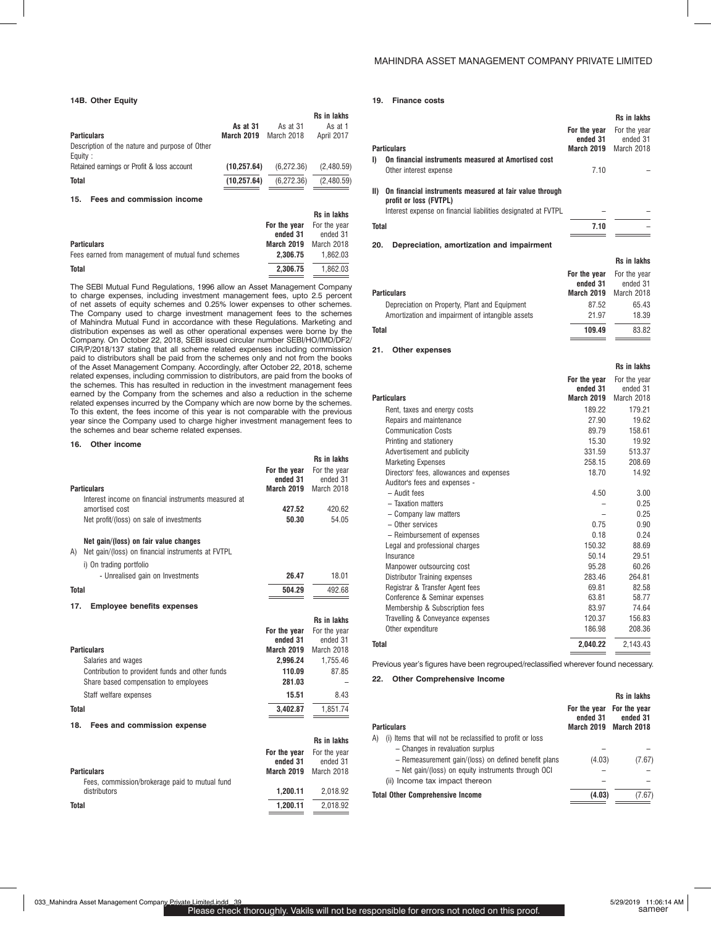#### **14B. Other Equity**

|                                                           |                   |                   | Rs in lakhs                 |
|-----------------------------------------------------------|-------------------|-------------------|-----------------------------|
|                                                           | As at 31          | As at 31          | As at 1                     |
| <b>Particulars</b>                                        | <b>March 2019</b> | <b>March 2018</b> | April 2017                  |
| Description of the nature and purpose of Other<br>Equity: |                   |                   |                             |
| Retained earnings or Profit & loss account                | (10, 257.64)      | (6, 272.36)       | (2,480.59)                  |
| Total                                                     | (10, 257.64)      | (6, 272.36)       | (2,480.59)                  |
| Fees and commission income<br>15.                         |                   |                   |                             |
|                                                           |                   |                   | Rs in lakhs                 |
|                                                           |                   | For the year      | For the year                |
|                                                           |                   | ended 31          | ended 31                    |
| <b>Doutioulous</b>                                        |                   | Mayah 9010        | $M$ <sub>arah</sub> $0$ 010 |

| <b>Particulars</b>                                 | <b>March 2019</b> March 2018 |          |
|----------------------------------------------------|------------------------------|----------|
| Fees earned from management of mutual fund schemes | 2.306.75                     | 1.862.03 |
| Total                                              | 2.306.75                     | 1.862.03 |

The SEBI Mutual Fund Regulations, 1996 allow an Asset Management Company to charge expenses, including investment management fees, upto 2.5 percent of net assets of equity schemes and 0.25% lower expenses to other schemes. The Company used to charge investment management fees to the schemes of Mahindra Mutual Fund in accordance with these Regulations. Marketing and distribution expenses as well as other operational expenses were borne by the Company. On October 22, 2018, SEBI issued circular number SEBI/HO/IMD/DF2/ CIR/P/2018/137 stating that all scheme related expenses including commission paid to distributors shall be paid from the schemes only and not from the books of the Asset Management Company. Accordingly, after October 22, 2018, scheme related expenses, including commission to distributors, are paid from the books of the schemes. This has resulted in reduction in the investment management fees earned by the Company from the schemes and also a reduction in the scheme related expenses incurred by the Company which are now borne by the schemes. To this extent, the fees income of this year is not comparable with the previous year since the Company used to charge higher investment management fees to the schemes and bear scheme related expenses.

#### **16. Other income**

|    | <b>Particulars</b>                                   | For the year<br>ended 31<br><b>March 2019</b> | Rs in lakhs<br>For the year<br>ended 31<br>March 2018 |
|----|------------------------------------------------------|-----------------------------------------------|-------------------------------------------------------|
|    | Interest income on financial instruments measured at |                                               |                                                       |
|    | amortised cost                                       | 427.52                                        | 420.62                                                |
|    | Net profit/(loss) on sale of investments             | 50.30                                         | 54.05                                                 |
|    | Net gain/(loss) on fair value changes                |                                               |                                                       |
| A) | Net gain/(loss) on financial instruments at FVTPL    |                                               |                                                       |
|    | i) On trading portfolio                              |                                               |                                                       |
|    | - Unrealised gain on Investments                     | 26.47                                         | 18 01                                                 |

| Total |  |      |  |  |  |  | 504.29 |  | 492.68 |  |
|-------|--|------|--|--|--|--|--------|--|--------|--|
| $-$   |  | $-1$ |  |  |  |  |        |  |        |  |

#### **17. Employee benefits expenses**

|                                                 | For the year      | For the year |
|-------------------------------------------------|-------------------|--------------|
|                                                 | ended 31          | ended 31     |
| <b>Particulars</b>                              | <b>March 2019</b> | March 2018   |
| Salaries and wages                              | 2.996.24          | 1.755.46     |
| Contribution to provident funds and other funds | 110.09            | 87.85        |
| Share based compensation to employees           | 281.03            |              |
| Staff welfare expenses                          | 15.51             | 8.43         |
| Total                                           | 3.402.87          | 1.851.74     |
| Fees and commission expense<br>18.              |                   |              |

|                                                | For the year      | For the year |
|------------------------------------------------|-------------------|--------------|
|                                                | ended 31          | ended 31     |
| Particulars                                    | <b>March 2019</b> | March 2018   |
| Fees, commission/brokerage paid to mutual fund |                   |              |
| distributors                                   | 1.200.11          | 2.018.92     |
| Total                                          | 1.200.11          | 2.018.92     |
|                                                |                   |              |

#### **19. Finance costs**

|       |                                                                                   |                          | Rs in lakhs              |
|-------|-----------------------------------------------------------------------------------|--------------------------|--------------------------|
|       |                                                                                   | For the year<br>ended 31 | For the year<br>ended 31 |
|       | Particulars                                                                       | <b>March 2019</b>        | March 2018               |
| I)    | On financial instruments measured at Amortised cost                               |                          |                          |
|       | Other interest expense                                                            | 7.10                     |                          |
| II)   | On financial instruments measured at fair value through<br>profit or loss (FVTPL) |                          |                          |
|       | Interest expense on financial liabilities designated at FVTPL                     |                          |                          |
| Total |                                                                                   | 7.10                     |                          |
| 20.   | Depreciation, amortization and impairment                                         |                          |                          |
|       |                                                                                   |                          |                          |

| <b>Particulars</b>                               | For the year<br>ended 31<br><b>March 2019</b> | For the year<br>ended 31<br>March 2018 |
|--------------------------------------------------|-----------------------------------------------|----------------------------------------|
| Depreciation on Property, Plant and Equipment    | 87.52                                         | 65.43                                  |
| Amortization and impairment of intangible assets | 21.97                                         | 18.39                                  |
| Total                                            | 109.49                                        | 83.82                                  |

 **Rs in lakhs** 

 $\equiv$ 

 **Rs in lakhs** 

#### **21. Other expenses**

|                                          |                                               | <b>Rs in lakhs</b>                     |
|------------------------------------------|-----------------------------------------------|----------------------------------------|
| <b>Particulars</b>                       | For the year<br>ended 31<br><b>March 2019</b> | For the year<br>ended 31<br>March 2018 |
| Rent, taxes and energy costs             | 189.22                                        | 179.21                                 |
| Repairs and maintenance                  | 27.90                                         | 19.62                                  |
| <b>Communication Costs</b>               | 89.79                                         | 158.61                                 |
| Printing and stationery                  | 15.30                                         | 19.92                                  |
| Advertisement and publicity              | 331.59                                        | 513.37                                 |
| <b>Marketing Expenses</b>                | 258.15                                        | 208.69                                 |
| Directors' fees, allowances and expenses | 18.70                                         | 14.92                                  |
| Auditor's fees and expenses -            |                                               |                                        |
| - Audit fees                             | 4.50                                          | 3.00                                   |
| - Taxation matters                       |                                               | 0.25                                   |
| - Company law matters                    |                                               | 0.25                                   |
| - Other services                         | 0.75                                          | 0.90                                   |
| - Reimbursement of expenses              | 0.18                                          | 0.24                                   |
| Legal and professional charges           | 150.32                                        | 88.69                                  |
| Insurance                                | 50.14                                         | 29.51                                  |
| Manpower outsourcing cost                | 95.28                                         | 60.26                                  |
| Distributor Training expenses            | 283.46                                        | 264.81                                 |
| Registrar & Transfer Agent fees          | 69.81                                         | 82.58                                  |
| Conference & Seminar expenses            | 63.81                                         | 58.77                                  |
| Membership & Subscription fees           | 83.97                                         | 74.64                                  |
| Travelling & Conveyance expenses         | 120.37                                        | 156.83                                 |
| Other expenditure                        | 186.98                                        | 208.36                                 |
| Total                                    | 2.040.22                                      | 2.143.43                               |

Previous year's figures have been regrouped/reclassified wherever found necessary.

#### **22. Other Comprehensive Income**

 **Rs in lakhs** 

 **Rs in lakhs** 

|    | <b>Particulars</b>                                        | For the year For the year<br>ended 31<br><b>March 2019</b> | ended 31<br>March 2018 |
|----|-----------------------------------------------------------|------------------------------------------------------------|------------------------|
| A) | (i) Items that will not be reclassified to profit or loss |                                                            |                        |
|    | - Changes in revaluation surplus                          |                                                            |                        |
|    | - Remeasurement gain/(loss) on defined benefit plans      | (4.03)                                                     | (7.67)                 |
|    | - Net gain/(loss) on equity instruments through OCI       |                                                            |                        |
|    | (ii) Income tax impact thereon                            |                                                            |                        |
|    | <b>Total Other Comprehensive Income</b>                   | (4.03)                                                     | (7.67)                 |
|    |                                                           |                                                            |                        |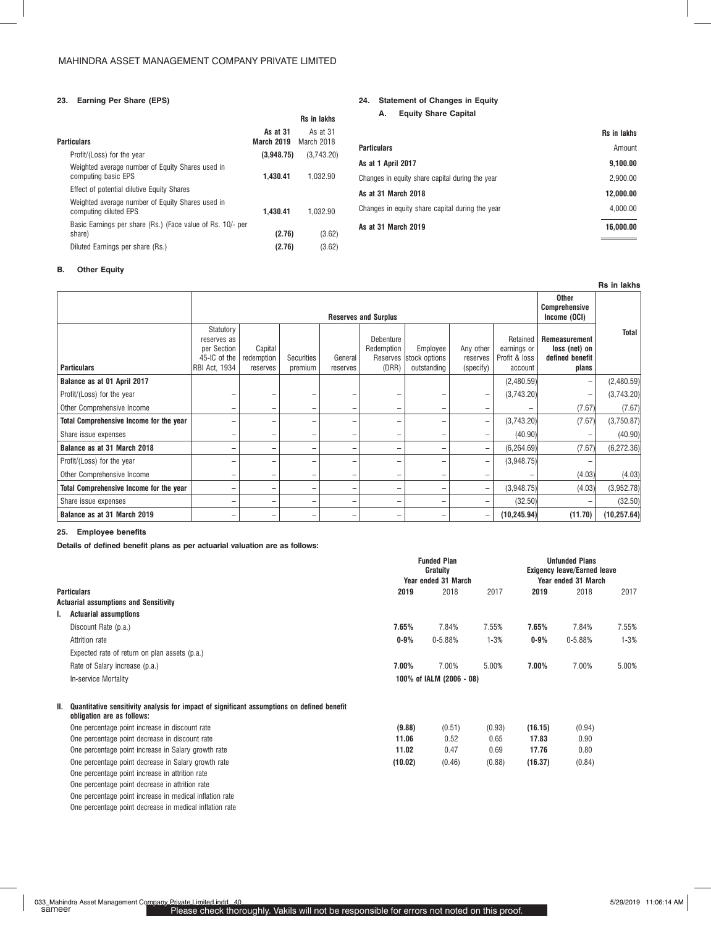### **23. Earning Per Share (EPS)**

|                    |                                                                           |                               | Rs in lakhs            |
|--------------------|---------------------------------------------------------------------------|-------------------------------|------------------------|
| <b>Particulars</b> |                                                                           | As at 31<br><b>March 2019</b> | As at 31<br>March 2018 |
|                    | Profit/(Loss) for the year                                                | (3,948.75)                    | (3,743.20)             |
|                    | Weighted average number of Equity Shares used in<br>computing basic EPS   | 1.430.41                      | 1.032.90               |
|                    | <b>Effect of potential dilutive Equity Shares</b>                         |                               |                        |
|                    | Weighted average number of Equity Shares used in<br>computing diluted EPS | 1.430.41                      | 1.032.90               |
|                    | Basic Earnings per share (Rs.) (Face value of Rs. 10/- per<br>share)      | (2.76)                        | (3.62)                 |
|                    | Diluted Earnings per share (Rs.)                                          | (2.76)                        | (3.62)                 |
|                    |                                                                           |                               |                        |

### **24. Statement of Changes in Equity**

**A. Equity Share Capital**

|                                                 | Rs in lakhs |
|-------------------------------------------------|-------------|
| Particulars                                     | Amount      |
| As at 1 April 2017                              | 9,100.00    |
| Changes in equity share capital during the year | 2.900.00    |
| As at 31 March 2018                             | 12,000.00   |
| Changes in equity share capital during the year | 4,000.00    |
| As at 31 March 2019                             | 16.000.00   |
|                                                 |             |

# **B. Other Equity**

| Rs in lakhs                                    |                                                                          |                                   |                                               |                          |                                              |                                          |                                    |                                                     |                                                            |              |
|------------------------------------------------|--------------------------------------------------------------------------|-----------------------------------|-----------------------------------------------|--------------------------|----------------------------------------------|------------------------------------------|------------------------------------|-----------------------------------------------------|------------------------------------------------------------|--------------|
|                                                |                                                                          |                                   | <b>Other</b><br>Comprehensive<br>Income (OCI) |                          |                                              |                                          |                                    |                                                     |                                                            |              |
| <b>Particulars</b>                             | Statutory<br>reserves as<br>per Section<br>45-IC of the<br>RBI Act, 1934 | Capital<br>redemption<br>reserves | Securities<br>premium                         | General<br>reserves      | Debenture<br>Redemption<br>Reserves<br>(DRR) | Employee<br>stock options<br>outstanding | Any other<br>reserves<br>(specify) | Retained<br>earnings or<br>Profit & loss<br>account | Remeasurement<br>loss (net) on<br>defined benefit<br>plans | <b>Total</b> |
| Balance as at 01 April 2017                    |                                                                          |                                   |                                               |                          |                                              |                                          |                                    | (2,480.59)                                          | $\overline{\phantom{0}}$                                   | (2,480.59)   |
| Profit/(Loss) for the year                     |                                                                          |                                   |                                               |                          |                                              |                                          | ۰                                  | (3,743.20)                                          | -                                                          | (3,743.20)   |
| Other Comprehensive Income                     | -                                                                        |                                   | -                                             | $\qquad \qquad$          |                                              | -                                        | -                                  |                                                     | (7.67)                                                     | (7.67)       |
| <b>Total Comprehensive Income for the year</b> |                                                                          |                                   | -                                             |                          |                                              |                                          | ۳                                  | (3,743.20)                                          | (7.67)                                                     | (3,750.87)   |
| Share issue expenses                           |                                                                          |                                   | -                                             | -                        |                                              | -                                        |                                    | (40.90)                                             |                                                            | (40.90)      |
| Balance as at 31 March 2018                    | -                                                                        | -                                 | -                                             | -                        | -                                            | -                                        | ۰                                  | (6,264.69)                                          | (7.67)                                                     | (6, 272.36)  |
| Profit/(Loss) for the year                     |                                                                          |                                   |                                               |                          |                                              | -                                        | ۰                                  | (3,948.75)                                          |                                                            |              |
| Other Comprehensive Income                     |                                                                          |                                   | -                                             | -                        |                                              | -                                        |                                    |                                                     | (4.03)                                                     | (4.03)       |
| Total Comprehensive Income for the year        | -                                                                        |                                   | -                                             | -                        |                                              | -                                        | ۰                                  | (3,948.75)                                          | (4.03)                                                     | (3,952.78)   |
| Share issue expenses                           | $\overline{\phantom{0}}$                                                 | -                                 | -                                             | $\qquad \qquad$          | -                                            | -                                        |                                    | (32.50)                                             | $\overline{\phantom{0}}$                                   | (32.50)      |
| Balance as at 31 March 2019                    | -                                                                        |                                   | -                                             | $\overline{\phantom{m}}$ | -                                            | -                                        | -                                  | (10, 245.94)                                        | (11.70)                                                    | (10, 257.64) |

#### **25. Employee benefits**

**Details of defined benefit plans as per actuarial valuation are as follows:**

|                                                                                                                              |                            | <b>Funded Plan</b><br>Gratuity | <b>Unfunded Plans</b><br><b>Exigency leave/Earned leave</b> |           |                     |          |  |  |
|------------------------------------------------------------------------------------------------------------------------------|----------------------------|--------------------------------|-------------------------------------------------------------|-----------|---------------------|----------|--|--|
|                                                                                                                              | <b>Year ended 31 March</b> |                                |                                                             |           | Year ended 31 March |          |  |  |
| <b>Particulars</b>                                                                                                           | 2019                       | 2018                           | 2017                                                        | 2019      | 2018                | 2017     |  |  |
| <b>Actuarial assumptions and Sensitivity</b>                                                                                 |                            |                                |                                                             |           |                     |          |  |  |
| I. Actuarial assumptions                                                                                                     |                            |                                |                                                             |           |                     |          |  |  |
| Discount Rate (p.a.)                                                                                                         | 7.65%                      | 7.84%                          | 7.55%                                                       | 7.65%     | 7.84%               | 7.55%    |  |  |
| Attrition rate                                                                                                               | $0 - 9\%$                  | 0-5.88%                        | $1 - 3%$                                                    | $0 - 9\%$ | 0-5.88%             | $1 - 3%$ |  |  |
| Expected rate of return on plan assets (p.a.)                                                                                |                            |                                |                                                             |           |                     |          |  |  |
| Rate of Salary increase (p.a.)                                                                                               | 7.00%                      | 7.00%                          | 5.00%                                                       | 7.00%     | 7.00%               | 5.00%    |  |  |
| <b>In-service Mortality</b>                                                                                                  |                            | 100% of IALM (2006 - 08)       |                                                             |           |                     |          |  |  |
| II. Quantitative sensitivity analysis for impact of significant assumptions on defined benefit<br>obligation are as follows: |                            |                                |                                                             |           |                     |          |  |  |
| One percentage point increase in discount rate                                                                               | (9.88)                     | (0.51)                         | (0.93)                                                      | (16.15)   | (0.94)              |          |  |  |
| One percentage point decrease in discount rate                                                                               | 11.06                      | 0.52                           | 0.65                                                        | 17.83     | 0.90                |          |  |  |
| One percentage point increase in Salary growth rate                                                                          | 11.02                      | 0.47                           | 0.69                                                        | 17.76     | 0.80                |          |  |  |
| One percentage point decrease in Salary growth rate                                                                          | (10.02)                    | (0.46)                         | (0.88)                                                      | (16.37)   | (0.84)              |          |  |  |
| One percentage point increase in attrition rate                                                                              |                            |                                |                                                             |           |                     |          |  |  |
| One percentage point decrease in attrition rate                                                                              |                            |                                |                                                             |           |                     |          |  |  |
| One percentage point increase in medical inflation rate                                                                      |                            |                                |                                                             |           |                     |          |  |  |

One percentage point decrease in medical inflation rate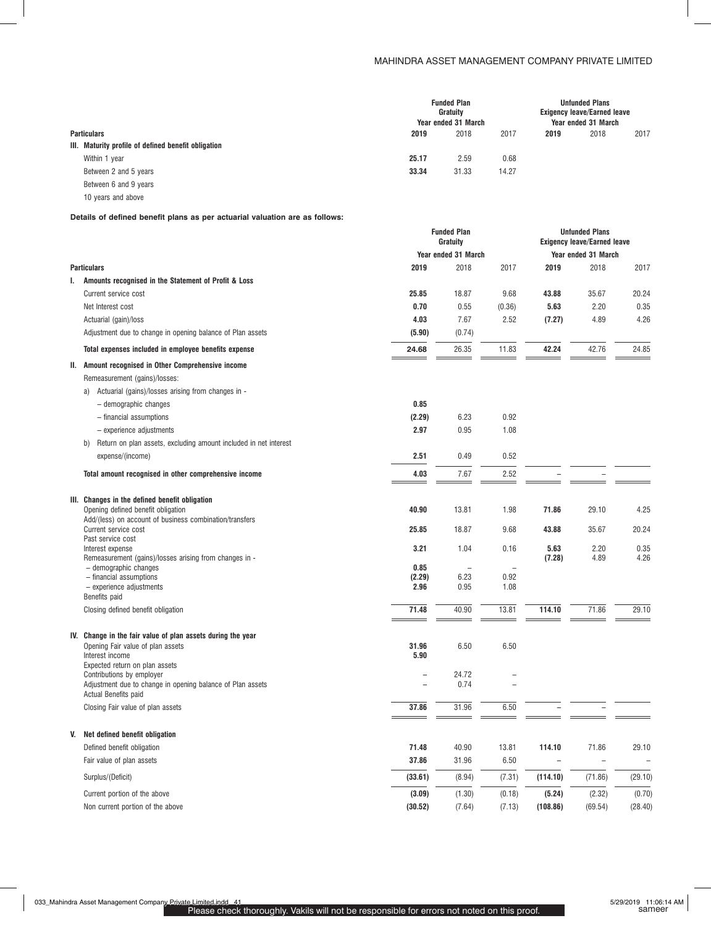# Mahindra Asset Management Company Private Limited

|                                                     | <b>Funded Plan</b><br>Gratuity<br>Year ended 31 March | <b>Unfunded Plans</b><br><b>Exigency leave/Earned leave</b><br>Year ended 31 March |       |      |      |      |
|-----------------------------------------------------|-------------------------------------------------------|------------------------------------------------------------------------------------|-------|------|------|------|
| <b>Particulars</b>                                  | 2019                                                  | 2018                                                                               | 2017  | 2019 | 2018 | 2017 |
| III. Maturity profile of defined benefit obligation |                                                       |                                                                                    |       |      |      |      |
| Within 1 year                                       | 25.17                                                 | 2.59                                                                               | 0.68  |      |      |      |
| Between 2 and 5 years                               | 33.34                                                 | 31.33                                                                              | 14.27 |      |      |      |
| Between 6 and 9 years                               |                                                       |                                                                                    |       |      |      |      |

10 years and above

**Details of defined benefit plans as per actuarial valuation are as follows:** 

|    |                                                                                               | <b>Funded Plan</b><br>Gratuity |                          |        | <b>Unfunded Plans</b><br><b>Exigency leave/Earned leave</b> |                     |              |
|----|-----------------------------------------------------------------------------------------------|--------------------------------|--------------------------|--------|-------------------------------------------------------------|---------------------|--------------|
|    |                                                                                               |                                | Year ended 31 March      |        |                                                             | Year ended 31 March |              |
|    | <b>Particulars</b>                                                                            | 2019                           | 2018                     | 2017   | 2019                                                        | 2018                | 2017         |
| ı. | Amounts recognised in the Statement of Profit & Loss                                          |                                |                          |        |                                                             |                     |              |
|    | Current service cost                                                                          | 25.85                          | 18.87                    | 9.68   | 43.88                                                       | 35.67               | 20.24        |
|    | Net Interest cost                                                                             | 0.70                           | 0.55                     | (0.36) | 5.63                                                        | 2.20                | 0.35         |
|    | Actuarial (gain)/loss                                                                         | 4.03                           | 7.67                     | 2.52   | (7.27)                                                      | 4.89                | 4.26         |
|    | Adjustment due to change in opening balance of Plan assets                                    | (5.90)                         | (0.74)                   |        |                                                             |                     |              |
|    | Total expenses included in employee benefits expense                                          | 24.68                          | 26.35                    | 11.83  | 42.24                                                       | 42.76               | 24.85        |
|    | II. Amount recognised in Other Comprehensive income                                           |                                |                          |        |                                                             |                     |              |
|    | Remeasurement (gains)/losses:                                                                 |                                |                          |        |                                                             |                     |              |
|    | Actuarial (gains)/losses arising from changes in -<br>a)                                      |                                |                          |        |                                                             |                     |              |
|    | - demographic changes                                                                         | 0.85                           |                          |        |                                                             |                     |              |
|    | - financial assumptions                                                                       | (2.29)                         | 6.23                     | 0.92   |                                                             |                     |              |
|    | - experience adjustments                                                                      | 2.97                           | 0.95                     | 1.08   |                                                             |                     |              |
|    | Return on plan assets, excluding amount included in net interest<br>b)                        |                                |                          |        |                                                             |                     |              |
|    | expense/(income)                                                                              | 2.51                           | 0.49                     | 0.52   |                                                             |                     |              |
|    | Total amount recognised in other comprehensive income                                         | 4.03                           | 7.67                     | 2.52   |                                                             |                     |              |
|    |                                                                                               |                                |                          |        |                                                             |                     |              |
|    | III. Changes in the defined benefit obligation                                                |                                |                          |        |                                                             |                     |              |
|    | Opening defined benefit obligation<br>Add/(less) on account of business combination/transfers | 40.90                          | 13.81                    | 1.98   | 71.86                                                       | 29.10               | 4.25         |
|    | Current service cost                                                                          | 25.85                          | 18.87                    | 9.68   | 43.88                                                       | 35.67               | 20.24        |
|    | Past service cost                                                                             |                                |                          |        |                                                             |                     |              |
|    | Interest expense<br>Remeasurement (gains)/losses arising from changes in -                    | 3.21                           | 1.04                     | 0.16   | 5.63<br>(7.28)                                              | 2.20<br>4.89        | 0.35<br>4.26 |
|    | - demographic changes                                                                         | 0.85                           | $\overline{\phantom{a}}$ |        |                                                             |                     |              |
|    | - financial assumptions                                                                       | (2.29)                         | 6.23                     | 0.92   |                                                             |                     |              |
|    | - experience adjustments<br>Benefits paid                                                     | 2.96                           | 0.95                     | 1.08   |                                                             |                     |              |
|    | Closing defined benefit obligation                                                            | 71.48                          | 40.90                    | 13.81  | 114.10                                                      | 71.86               | 29.10        |
|    |                                                                                               |                                |                          |        |                                                             |                     |              |
|    | IV. Change in the fair value of plan assets during the year                                   |                                |                          |        |                                                             |                     |              |
|    | Opening Fair value of plan assets<br>Interest income                                          | 31.96<br>5.90                  | 6.50                     | 6.50   |                                                             |                     |              |
|    | Expected return on plan assets                                                                |                                |                          |        |                                                             |                     |              |
|    | Contributions by employer                                                                     | $\overline{\phantom{0}}$       | 24.72                    |        |                                                             |                     |              |
|    | Adjustment due to change in opening balance of Plan assets<br>Actual Benefits paid            |                                | 0.74                     |        |                                                             |                     |              |
|    | Closing Fair value of plan assets                                                             | 37.86                          | 31.96                    | 6.50   |                                                             |                     |              |
|    |                                                                                               |                                |                          |        |                                                             |                     |              |
|    | V. Net defined benefit obligation                                                             |                                |                          |        |                                                             |                     |              |
|    | Defined benefit obligation                                                                    | 71.48                          | 40.90                    | 13.81  | 114.10                                                      | 71.86               | 29.10        |
|    | Fair value of plan assets                                                                     | 37.86                          | 31.96                    | 6.50   |                                                             | $\qquad \qquad -$   |              |
|    | Surplus/(Deficit)                                                                             | (33.61)                        | (8.94)                   | (7.31) | (114.10)                                                    | (71.86)             | (29.10)      |
|    | Current portion of the above                                                                  | (3.09)                         | (1.30)                   | (0.18) | (5.24)                                                      | (2.32)              | (0.70)       |
|    | Non current portion of the above                                                              | (30.52)                        | (7.64)                   | (7.13) | (108.86)                                                    | (69.54)             | (28.40)      |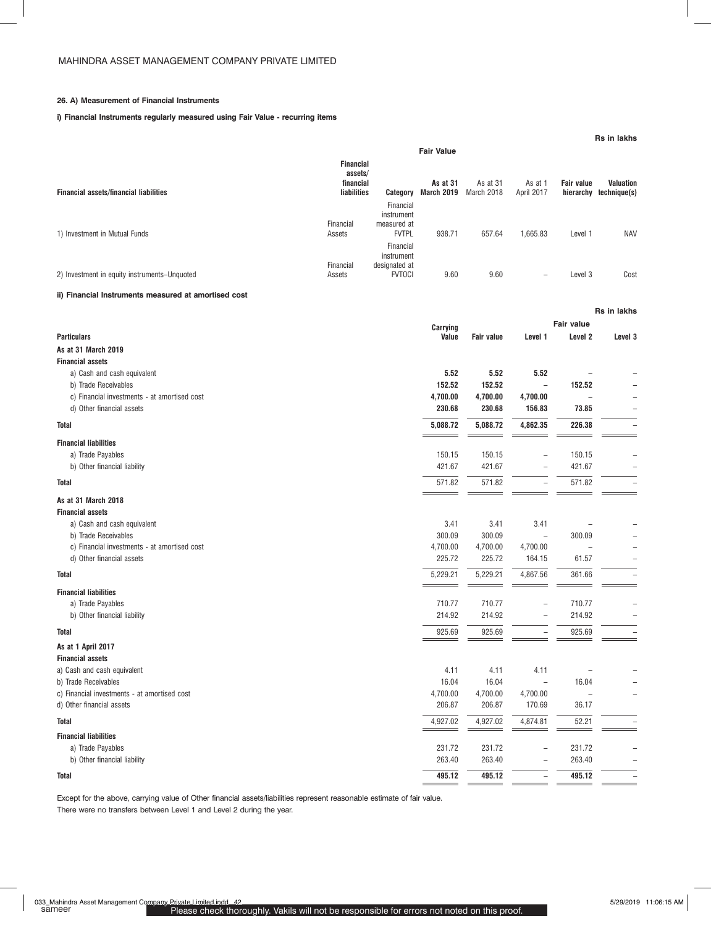#### **26. A) Measurement of Financial Instruments**

#### **i) Financial Instruments regularly measured using Fair Value - recurring items**

|                                               |                                                         |                                                           |                               |                        |                       |                                | Rs in lakhs                      |
|-----------------------------------------------|---------------------------------------------------------|-----------------------------------------------------------|-------------------------------|------------------------|-----------------------|--------------------------------|----------------------------------|
|                                               |                                                         |                                                           | <b>Fair Value</b>             |                        |                       |                                |                                  |
| <b>Financial assets/financial liabilities</b> | <b>Financial</b><br>assets/<br>financial<br>liabilities | Category                                                  | As at 31<br><b>March 2019</b> | As at 31<br>March 2018 | As at 1<br>April 2017 | <b>Fair value</b><br>hierarchy | <b>Valuation</b><br>technique(s) |
| 1) Investment in Mutual Funds                 | Financial<br>Assets                                     | Financial<br>instrument<br>measured at<br><b>FVTPL</b>    | 938.71                        | 657.64                 | 1.665.83              | Level 1                        | <b>NAV</b>                       |
| 2) Investment in equity instruments–Unquoted  | Financial<br>Assets                                     | Financial<br>instrument<br>designated at<br><b>FVTOCI</b> | 9.60                          | 9.60                   | -                     | Level 3                        | Cost                             |

#### **ii) Financial Instruments measured at amortised cost**

|                                              |          |                   |          |                          | Rs in lakhs |
|----------------------------------------------|----------|-------------------|----------|--------------------------|-------------|
|                                              | Carrying |                   |          | <b>Fair value</b>        |             |
| Particulars                                  | Value    | <b>Fair value</b> | Level 1  | Level 2                  | Level 3     |
| As at 31 March 2019                          |          |                   |          |                          |             |
| <b>Financial assets</b>                      |          |                   |          |                          |             |
| a) Cash and cash equivalent                  | 5.52     | 5.52              | 5.52     |                          |             |
| b) Trade Receivables                         | 152.52   | 152.52            |          | 152.52                   |             |
| c) Financial investments - at amortised cost | 4,700.00 | 4,700.00          | 4,700.00 |                          |             |
| d) Other financial assets                    | 230.68   | 230.68            | 156.83   | 73.85                    |             |
| Total                                        | 5,088.72 | 5,088.72          | 4,862.35 | 226.38                   |             |
| <b>Financial liabilities</b>                 |          |                   |          |                          |             |
| a) Trade Payables                            | 150.15   | 150.15            |          | 150.15                   |             |
| b) Other financial liability                 | 421.67   | 421.67            |          | 421.67                   |             |
| Total                                        | 571.82   | 571.82            |          | 571.82                   |             |
| As at 31 March 2018                          |          |                   |          |                          |             |
| <b>Financial assets</b>                      |          |                   |          |                          |             |
| a) Cash and cash equivalent                  | 3.41     | 3.41              | 3.41     |                          |             |
| b) Trade Receivables                         | 300.09   | 300.09            |          | 300.09                   |             |
| c) Financial investments - at amortised cost | 4,700.00 | 4,700.00          | 4,700.00 |                          |             |
| d) Other financial assets                    | 225.72   | 225.72            | 164.15   | 61.57                    |             |
| Total                                        | 5,229.21 | 5,229.21          | 4,867.56 | 361.66                   |             |
| <b>Financial liabilities</b>                 |          |                   |          |                          |             |
| a) Trade Payables                            | 710.77   | 710.77            |          | 710.77                   |             |
| b) Other financial liability                 | 214.92   | 214.92            |          | 214.92                   |             |
| Total                                        | 925.69   | 925.69            |          | 925.69                   |             |
| As at 1 April 2017                           |          |                   |          |                          |             |
| <b>Financial assets</b>                      |          |                   |          |                          |             |
| a) Cash and cash equivalent                  | 4.11     | 4.11              | 4.11     |                          |             |
| b) Trade Receivables                         | 16.04    | 16.04             |          | 16.04                    |             |
| c) Financial investments - at amortised cost | 4,700.00 | 4,700.00          | 4,700.00 | $\overline{\phantom{0}}$ |             |
| d) Other financial assets                    | 206.87   | 206.87            | 170.69   | 36.17                    |             |
| Total                                        | 4,927.02 | 4,927.02          | 4,874.81 | 52.21                    |             |
| <b>Financial liabilities</b>                 |          |                   |          |                          |             |
| a) Trade Payables                            | 231.72   | 231.72            |          | 231.72                   |             |
| b) Other financial liability                 | 263.40   | 263.40            |          | 263.40                   |             |
| Total                                        | 495.12   | 495.12            | L,       | 495.12                   | $\equiv$    |

Except for the above, carrying value of Other financial assets/liabilities represent reasonable estimate of fair value.

There were no transfers between Level 1 and Level 2 during the year.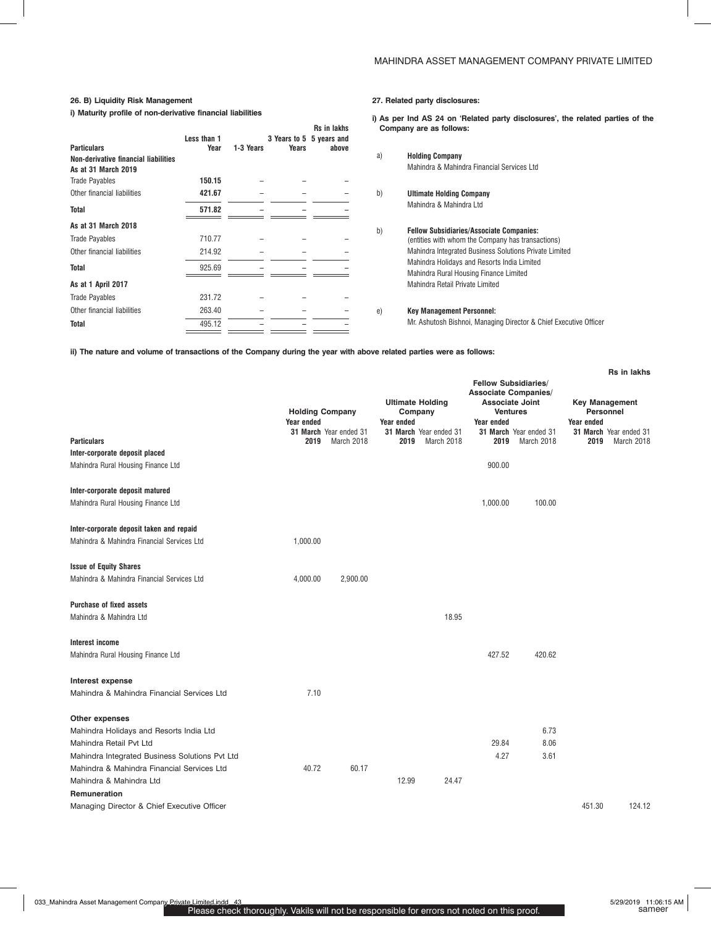### **26. B) Liquidity Risk Management**

**i) Maturity profile of non-derivative financial liabilities**

|                                      |             |           |                          |                    | ., |
|--------------------------------------|-------------|-----------|--------------------------|--------------------|----|
|                                      |             |           |                          | <b>Rs in lakhs</b> |    |
|                                      | Less than 1 |           | 3 Years to 5 5 years and |                    |    |
| <b>Particulars</b>                   | Year        | 1-3 Years | <b>Years</b>             | above              |    |
| Non-derivative financial liabilities |             |           |                          |                    |    |
| As at 31 March 2019                  |             |           |                          |                    |    |
| <b>Trade Payables</b>                | 150.15      |           |                          |                    |    |
| Other financial liabilities          | 421.67      |           |                          |                    |    |
| <b>Total</b>                         | 571.82      |           |                          |                    |    |
| As at 31 March 2018                  |             |           |                          |                    |    |
| <b>Trade Payables</b>                | 710.77      |           |                          |                    |    |
| Other financial liabilities          | 214.92      |           |                          |                    |    |
| Total                                | 925.69      |           |                          |                    |    |
| As at 1 April 2017                   |             |           |                          |                    |    |
| <b>Trade Payables</b>                | 231.72      |           |                          |                    |    |
| Other financial liabilities          | 263.40      |           |                          |                    |    |
| Total                                | 495.12      |           |                          |                    |    |
|                                      |             |           |                          |                    |    |

#### **27. Related party disclosures:**

**i) As per Ind AS 24 on 'Related party disclosures', the related parties of the Company are as follows:**

| e) | <b>Key Management Personnel:</b>                                                                     |
|----|------------------------------------------------------------------------------------------------------|
|    | Mahindra Retail Private Limited                                                                      |
|    | Mahindra Rural Housing Finance Limited                                                               |
|    | Mahindra Holidays and Resorts India Limited                                                          |
|    | Mahindra Integrated Business Solutions Private Limited                                               |
| b) | <b>Fellow Subsidiaries/Associate Companies:</b><br>(entities with whom the Company has transactions) |
|    | Mahindra & Mahindra I td                                                                             |
|    |                                                                                                      |
| b) | <b>Ultimate Holding Company</b>                                                                      |
| a) | <b>Holding Company</b><br>Mahindra & Mahindra Financial Services Ltd                                 |
|    |                                                                                                      |

Mr. Ashutosh Bishnoi, Managing Director & Chief Executive Officer

**ii) The nature and volume of transactions of the Company during the year with above related parties were as follows:**

|                                                                                            |                                      |                                      |                                              |            |                                                                                           |                                      |                                    | Rs in lakhs                          |
|--------------------------------------------------------------------------------------------|--------------------------------------|--------------------------------------|----------------------------------------------|------------|-------------------------------------------------------------------------------------------|--------------------------------------|------------------------------------|--------------------------------------|
|                                                                                            | <b>Holding Company</b><br>Year ended |                                      | <b>Ultimate Holding</b><br>Company           |            | <b>Fellow Subsidiaries/</b><br>Associate Companies/<br>Associate Joint<br><b>Ventures</b> |                                      | <b>Key Management</b><br>Personnel |                                      |
| <b>Particulars</b><br>Inter-corporate deposit placed<br>Mahindra Rural Housing Finance Ltd | 2019                                 | 31 March Year ended 31<br>March 2018 | Year ended<br>31 March Year ended 31<br>2019 | March 2018 | Year ended<br>2019<br>900.00                                                              | 31 March Year ended 31<br>March 2018 | Year ended<br>2019                 | 31 March Year ended 31<br>March 2018 |
| Inter-corporate deposit matured<br>Mahindra Rural Housing Finance Ltd                      |                                      |                                      |                                              |            | 1,000.00                                                                                  | 100.00                               |                                    |                                      |
| Inter-corporate deposit taken and repaid<br>Mahindra & Mahindra Financial Services Ltd     |                                      |                                      |                                              |            |                                                                                           |                                      |                                    |                                      |
|                                                                                            | 1,000.00                             |                                      |                                              |            |                                                                                           |                                      |                                    |                                      |
| <b>Issue of Equity Shares</b>                                                              |                                      |                                      |                                              |            |                                                                                           |                                      |                                    |                                      |
| Mahindra & Mahindra Financial Services Ltd                                                 | 4,000.00                             | 2,900.00                             |                                              |            |                                                                                           |                                      |                                    |                                      |
| <b>Purchase of fixed assets</b>                                                            |                                      |                                      |                                              |            |                                                                                           |                                      |                                    |                                      |
| Mahindra & Mahindra Ltd                                                                    |                                      |                                      |                                              | 18.95      |                                                                                           |                                      |                                    |                                      |
| <b>Interest income</b>                                                                     |                                      |                                      |                                              |            |                                                                                           |                                      |                                    |                                      |
| Mahindra Rural Housing Finance Ltd                                                         |                                      |                                      |                                              |            | 427.52                                                                                    | 420.62                               |                                    |                                      |
| Interest expense                                                                           |                                      |                                      |                                              |            |                                                                                           |                                      |                                    |                                      |
| Mahindra & Mahindra Financial Services Ltd                                                 | 7.10                                 |                                      |                                              |            |                                                                                           |                                      |                                    |                                      |
| Other expenses                                                                             |                                      |                                      |                                              |            |                                                                                           |                                      |                                    |                                      |
| Mahindra Holidays and Resorts India Ltd                                                    |                                      |                                      |                                              |            |                                                                                           | 6.73                                 |                                    |                                      |
| Mahindra Retail Pvt Ltd                                                                    |                                      |                                      |                                              |            | 29.84                                                                                     | 8.06                                 |                                    |                                      |
| Mahindra Integrated Business Solutions Pvt Ltd                                             |                                      |                                      |                                              |            | 4.27                                                                                      | 3.61                                 |                                    |                                      |
| Mahindra & Mahindra Financial Services Ltd                                                 | 40.72                                | 60.17                                |                                              |            |                                                                                           |                                      |                                    |                                      |
| Mahindra & Mahindra Ltd                                                                    |                                      |                                      | 12.99                                        | 24.47      |                                                                                           |                                      |                                    |                                      |
| Remuneration                                                                               |                                      |                                      |                                              |            |                                                                                           |                                      |                                    |                                      |
| Managing Director & Chief Executive Officer                                                |                                      |                                      |                                              |            |                                                                                           |                                      | 451.30                             | 124.12                               |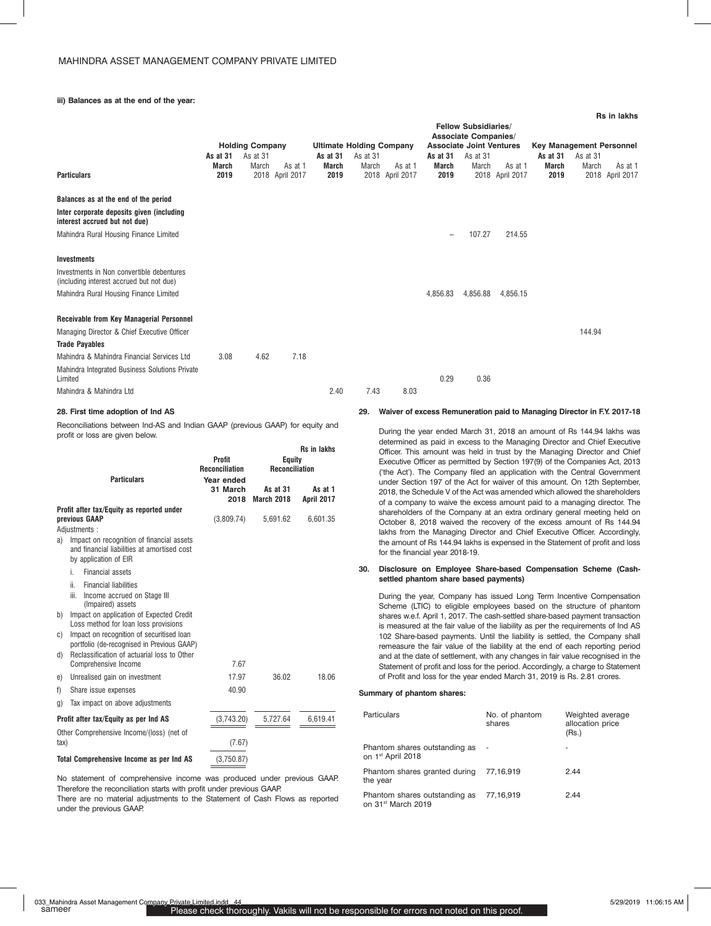#### **iii) Balances as at the end of the year:**

|                                                                                       |                           |                                             |                            |                                                                     |                   |                            |                           |                                                                                                                    |                            |                                                              |                   | <b>Rs</b> in lakhs         |
|---------------------------------------------------------------------------------------|---------------------------|---------------------------------------------|----------------------------|---------------------------------------------------------------------|-------------------|----------------------------|---------------------------|--------------------------------------------------------------------------------------------------------------------|----------------------------|--------------------------------------------------------------|-------------------|----------------------------|
| <b>Particulars</b>                                                                    | As at 31<br>March<br>2019 | <b>Holding Company</b><br>As at 31<br>March | As at 1<br>2018 April 2017 | <b>Ultimate Holding Company</b><br>As at 31<br><b>March</b><br>2019 | As at 31<br>March | As at 1<br>2018 April 2017 | As at 31<br>March<br>2019 | <b>Fellow Subsidiaries/</b><br><b>Associate Companies/</b><br><b>Associate Joint Ventures</b><br>As at 31<br>March | As at 1<br>2018 April 2017 | <b>Key Management Personnel</b><br>As at 31<br>March<br>2019 | As at 31<br>March | As at 1<br>2018 April 2017 |
| Balances as at the end of the period                                                  |                           |                                             |                            |                                                                     |                   |                            |                           |                                                                                                                    |                            |                                                              |                   |                            |
| Inter corporate deposits given (including<br>interest accrued but not due)            |                           |                                             |                            |                                                                     |                   |                            |                           |                                                                                                                    |                            |                                                              |                   |                            |
| Mahindra Rural Housing Finance Limited                                                |                           |                                             |                            |                                                                     |                   |                            | $\qquad \qquad$           | 107.27                                                                                                             | 214.55                     |                                                              |                   |                            |
| <b>Investments</b>                                                                    |                           |                                             |                            |                                                                     |                   |                            |                           |                                                                                                                    |                            |                                                              |                   |                            |
| Investments in Non convertible debentures<br>(including interest accrued but not due) |                           |                                             |                            |                                                                     |                   |                            |                           |                                                                                                                    |                            |                                                              |                   |                            |
| Mahindra Rural Housing Finance Limited                                                |                           |                                             |                            |                                                                     |                   |                            | 4.856.83                  | 4.856.88                                                                                                           | 4.856.15                   |                                                              |                   |                            |
| <b>Receivable from Key Managerial Personnel</b>                                       |                           |                                             |                            |                                                                     |                   |                            |                           |                                                                                                                    |                            |                                                              |                   |                            |
| Managing Director & Chief Executive Officer                                           |                           |                                             |                            |                                                                     |                   |                            |                           |                                                                                                                    |                            |                                                              | 144.94            |                            |
| <b>Trade Payables</b>                                                                 |                           |                                             |                            |                                                                     |                   |                            |                           |                                                                                                                    |                            |                                                              |                   |                            |
| Mahindra & Mahindra Financial Services Ltd                                            | 3.08                      | 4.62                                        | 7.18                       |                                                                     |                   |                            |                           |                                                                                                                    |                            |                                                              |                   |                            |
| Mahindra Integrated Business Solutions Private<br>Limited                             |                           |                                             |                            |                                                                     |                   |                            | 0.29                      | 0.36                                                                                                               |                            |                                                              |                   |                            |
| Mahindra & Mahindra Ltd                                                               |                           |                                             |                            | 2.40                                                                | 7.43              | 8.03                       |                           |                                                                                                                    |                            |                                                              |                   |                            |

 **Rs in lakhs** 

#### **28. First time adoption of Ind AS**

Reconciliations between Ind-AS and Indian GAAP (previous GAAP) for equity and profit or loss are given below.

| <b>Particulars</b> |                                                                                                                   | Profit<br><b>Reconciliation</b><br>Year ended | Equity<br><b>Reconciliation</b> |                              |  |  |
|--------------------|-------------------------------------------------------------------------------------------------------------------|-----------------------------------------------|---------------------------------|------------------------------|--|--|
|                    |                                                                                                                   | 31 March<br>2018                              | As at $31$<br><b>March 2018</b> | As at 1<br><b>April 2017</b> |  |  |
|                    | Profit after tax/Equity as reported under<br>previous GAAP<br>Adjustments:                                        | (3,809.74)                                    | 5.691.62                        | 6,601.35                     |  |  |
| a)                 | Impact on recognition of financial assets<br>and financial liabilities at amortised cost<br>by application of EIR |                                               |                                 |                              |  |  |
|                    | Financial assets<br>i.                                                                                            |                                               |                                 |                              |  |  |
|                    | ii.<br><b>Financial liabilities</b><br>iii.<br>Income accrued on Stage III<br>(Impaired) assets                   |                                               |                                 |                              |  |  |
| b)                 | Impact on application of Expected Credit<br>Loss method for loan loss provisions                                  |                                               |                                 |                              |  |  |
| C)                 | Impact on recognition of securitised loan<br>portfolio (de-recognised in Previous GAAP)                           |                                               |                                 |                              |  |  |
| d)                 | Reclassification of actuarial loss to Other<br>Comprehensive Income                                               | 7.67                                          |                                 |                              |  |  |
| e)                 | Unrealised gain on investment                                                                                     | 17.97                                         | 36.02                           | 18.06                        |  |  |
| f)                 | Share issue expenses                                                                                              | 40.90                                         |                                 |                              |  |  |
| g)                 | Tax impact on above adjustments                                                                                   |                                               |                                 |                              |  |  |
|                    | Profit after tax/Equity as per Ind AS                                                                             | (3,743.20)                                    | 5,727.64                        | 6,619.41                     |  |  |
| tax)               | Other Comprehensive Income/(loss) (net of                                                                         | (7.67)                                        |                                 |                              |  |  |
|                    | Total Comprehensive Income as per Ind AS                                                                          | (3,750.87)                                    |                                 |                              |  |  |

No statement of comprehensive income was produced under previous GAAP. Therefore the reconciliation starts with profit under previous GAAP.

There are no material adjustments to the Statement of Cash Flows as reported under the previous GAAP.

#### **29. Waiver of excess Remuneration paid to Managing Director in F.Y. 2017-18**

 During the year ended March 31, 2018 an amount of Rs 144.94 lakhs was determined as paid in excess to the Managing Director and Chief Executive Officer. This amount was held in trust by the Managing Director and Chief Executive Officer as permitted by Section 197(9) of the Companies Act, 2013 ('the Act'). The Company filed an application with the Central Government under Section 197 of the Act for waiver of this amount. On 12th September, 2018, the Schedule V of the Act was amended which allowed the shareholders of a company to waive the excess amount paid to a managing director. The shareholders of the Company at an extra ordinary general meeting held on October 8, 2018 waived the recovery of the excess amount of Rs 144.94 lakhs from the Managing Director and Chief Executive Officer. Accordingly, the amount of Rs 144.94 lakhs is expensed in the Statement of profit and loss for the financial year 2018-19.

#### **30. Disclosure on Employee Share-based Compensation Scheme (Cashsettled phantom share based payments)**

 During the year, Company has issued Long Term Incentive Compensation Scheme (LTIC) to eligible employees based on the structure of phantom shares w.e.f. April 1, 2017. The cash-settled share-based payment transaction is measured at the fair value of the liability as per the requirements of Ind AS 102 Share-based payments. Until the liability is settled, the Company shall remeasure the fair value of the liability at the end of each reporting period and at the date of settlement, with any changes in fair value recognised in the Statement of profit and loss for the period. Accordingly, a charge to Statement of Profit and loss for the year ended March 31, 2019 is Rs. 2.81 crores.

#### **Summary of phantom shares:**

| Particulars                                                      | No. of phantom<br>shares | Weighted average<br>allocation price<br>(Rs.) |
|------------------------------------------------------------------|--------------------------|-----------------------------------------------|
| Phantom shares outstanding as -<br>on 1 <sup>st</sup> April 2018 |                          |                                               |
| Phantom shares granted during<br>the year                        | 77.16.919                | 2.44                                          |
| Phantom shares outstanding as<br>on 31 <sup>st</sup> March 2019  | 77.16.919                | 2.44                                          |